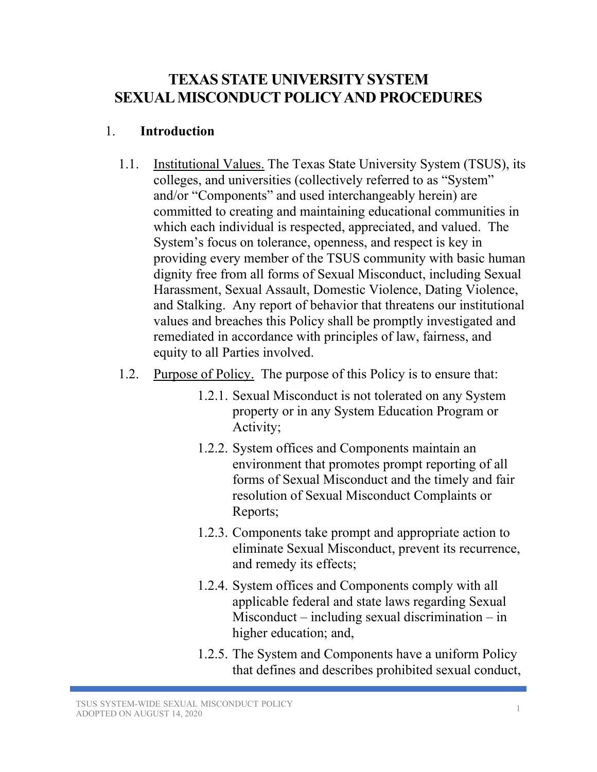# **TEXAS STATE UNIVERSITY SYSTEM SEXUAL MISCONDUCTPOLICYAND PROCEDURES**

#### 1. **Introduction**

- 1.1. Institutional Values. The Texas State University System (TSUS), its colleges, and universities (collectively referred to as "System" and/or "Components" and used interchangeably herein) are committed to creating and maintaining educational communities in which each individual is respected, appreciated, and valued. The System's focus on tolerance, openness, and respect is key in providing every member of the TSUS community with basic human dignity free from all forms of Sexual Misconduct, including Sexual Harassment, Sexual Assault, Domestic Violence, Dating Violence, and Stalking. Any report of behavior that threatens our institutional values and breaches this Policy shall be promptly investigated and remediated in accordance with principles of law, fairness, and equity to all Parties involved.
- 1.2. Purpose of Policy.The purpose of this Policy is to ensure that:
	- 1.2.1. Sexual Misconduct is not tolerated on any System property or in any System Education Program or Activity;
	- 1.2.2. System offices and Components maintain an environment that promotes prompt reporting of all forms of Sexual Misconduct and the timely and fair resolution of Sexual Misconduct Complaints or Reports;
	- 1.2.3. Components take prompt and appropriate action to eliminate Sexual Misconduct, prevent its recurrence, and remedy its effects;
	- 1.2.4. System offices and Components comply with all applicable federal and state laws regarding Sexual Misconduct – including sexual discrimination – in higher education; and,
	- 1.2.5. The System and Components have a uniform Policy that defines and describes prohibited sexual conduct,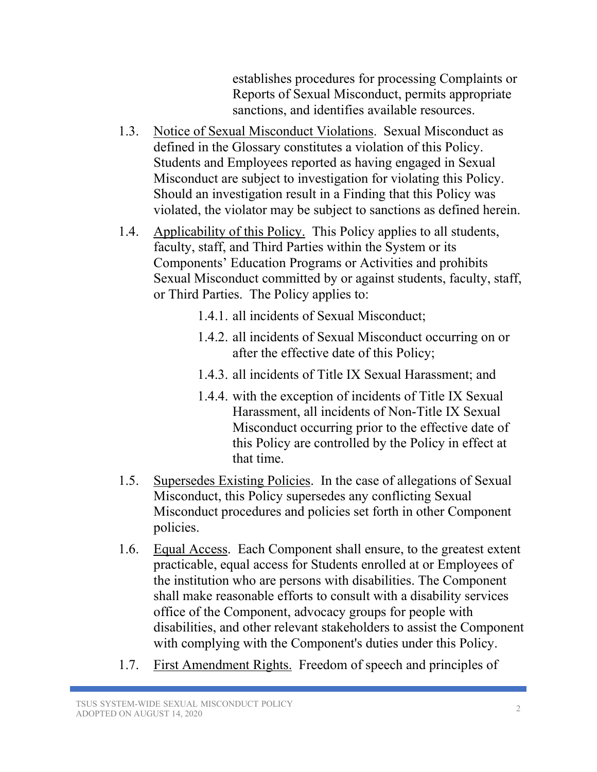establishes procedures for processing Complaints or Reports of Sexual Misconduct, permits appropriate sanctions, and identifies available resources.

- 1.3. Notice of Sexual Misconduct Violations. Sexual Misconduct as defined in the Glossary constitutes a violation of this Policy. Students and Employees reported as having engaged in Sexual Misconduct are subject to investigation for violating this Policy. Should an investigation result in a Finding that this Policy was violated, the violator may be subject to sanctions as defined herein.
- 1.4. Applicability of this Policy. This Policy applies to all students, faculty, staff, and Third Parties within the System or its Components' Education Programs or Activities and prohibits Sexual Misconduct committed by or against students, faculty, staff, or Third Parties. The Policy applies to:
	- 1.4.1. all incidents of Sexual Misconduct;
	- 1.4.2. all incidents of Sexual Misconduct occurring on or after the effective date of this Policy;
	- 1.4.3. all incidents of Title IX Sexual Harassment; and
	- 1.4.4. with the exception of incidents of Title IX Sexual Harassment, all incidents of Non-Title IX Sexual Misconduct occurring prior to the effective date of this Policy are controlled by the Policy in effect at that time.
- 1.5. Supersedes Existing Policies. In the case of allegations of Sexual Misconduct, this Policy supersedes any conflicting Sexual Misconduct procedures and policies set forth in other Component policies.
- 1.6. Equal Access. Each Component shall ensure, to the greatest extent practicable, equal access for Students enrolled at or Employees of the institution who are persons with disabilities. The Component shall make reasonable efforts to consult with a disability services office of the Component, advocacy groups for people with disabilities, and other relevant stakeholders to assist the Component with complying with the Component's duties under this Policy.
- 1.7. First Amendment Rights. Freedom of speech and principles of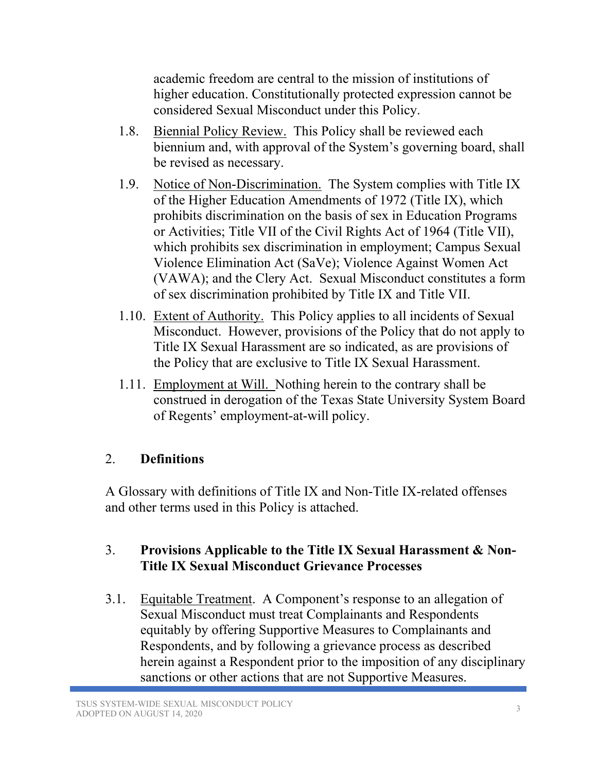academic freedom are central to the mission of institutions of higher education. Constitutionally protected expression cannot be considered Sexual Misconduct under this Policy.

- 1.8. Biennial Policy Review. This Policy shall be reviewed each biennium and, with approval of the System's governing board, shall be revised as necessary.
- 1.9. Notice of Non-Discrimination.The System complies with Title IX of the Higher Education Amendments of 1972 (Title IX), which prohibits discrimination on the basis of sex in Education Programs or Activities; Title VII of the Civil Rights Act of 1964 (Title VII), which prohibits sex discrimination in employment; Campus Sexual Violence Elimination Act (SaVe); Violence Against Women Act (VAWA); and the Clery Act. Sexual Misconduct constitutes a form of sex discrimination prohibited by Title IX and Title VII.
- 1.10. Extent of Authority. This Policy applies to all incidents of Sexual Misconduct. However, provisions of the Policy that do not apply to Title IX Sexual Harassment are so indicated, as are provisions of the Policy that are exclusive to Title IX Sexual Harassment.
- 1.11. Employment at Will. Nothing herein to the contrary shall be construed in derogation of the Texas State University System Board of Regents' employment-at-will policy.

# 2. **Definitions**

A Glossary with definitions of Title IX and Non-Title IX-related offenses and other terms used in this Policy is attached.

# 3. **Provisions Applicable to the Title IX Sexual Harassment & Non-Title IX Sexual Misconduct Grievance Processes**

3.1. Equitable Treatment. A Component's response to an allegation of Sexual Misconduct must treat Complainants and Respondents equitably by offering Supportive Measures to Complainants and Respondents, and by following a grievance process as described herein against a Respondent prior to the imposition of any disciplinary sanctions or other actions that are not Supportive Measures.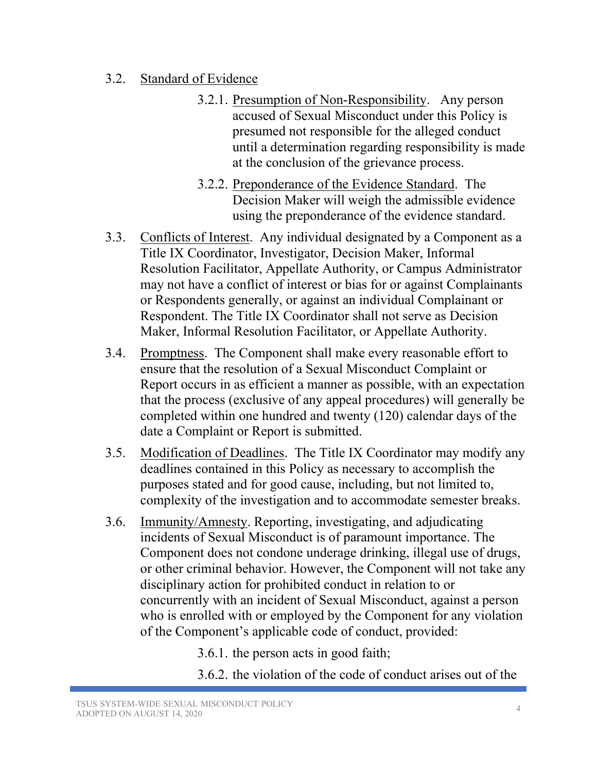#### 3.2. Standard of Evidence

- 3.2.1. Presumption of Non-Responsibility. Any person accused of Sexual Misconduct under this Policy is presumed not responsible for the alleged conduct until a determination regarding responsibility is made at the conclusion of the grievance process.
- 3.2.2. Preponderance of the Evidence Standard. The Decision Maker will weigh the admissible evidence using the preponderance of the evidence standard.
- 3.3. Conflicts of Interest. Any individual designated by a Component as a Title IX Coordinator, Investigator, Decision Maker, Informal Resolution Facilitator, Appellate Authority, or Campus Administrator may not have a conflict of interest or bias for or against Complainants or Respondents generally, or against an individual Complainant or Respondent. The Title IX Coordinator shall not serve as Decision Maker, Informal Resolution Facilitator, or Appellate Authority.
- 3.4. Promptness. The Component shall make every reasonable effort to ensure that the resolution of a Sexual Misconduct Complaint or Report occurs in as efficient a manner as possible, with an expectation that the process (exclusive of any appeal procedures) will generally be completed within one hundred and twenty (120) calendar days of the date a Complaint or Report is submitted.
- 3.5. Modification of Deadlines. The Title IX Coordinator may modify any deadlines contained in this Policy as necessary to accomplish the purposes stated and for good cause, including, but not limited to, complexity of the investigation and to accommodate semester breaks.
- 3.6. Immunity/Amnesty. Reporting, investigating, and adjudicating incidents of Sexual Misconduct is of paramount importance. The Component does not condone underage drinking, illegal use of drugs, or other criminal behavior. However, the Component will not take any disciplinary action for prohibited conduct in relation to or concurrently with an incident of Sexual Misconduct, against a person who is enrolled with or employed by the Component for any violation of the Component's applicable code of conduct, provided:

3.6.1. the person acts in good faith;

3.6.2. the violation of the code of conduct arises out of the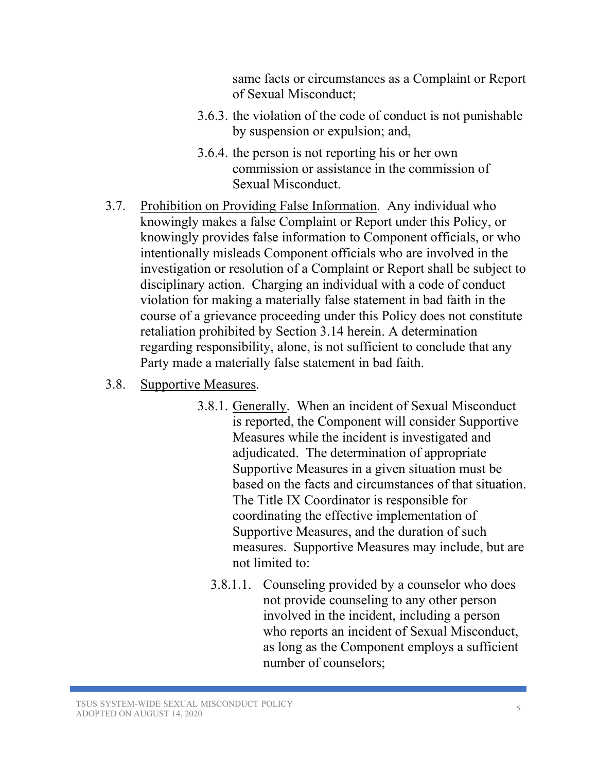same facts or circumstances as a Complaint or Report of Sexual Misconduct;

- 3.6.3. the violation of the code of conduct is not punishable by suspension or expulsion; and,
- 3.6.4. the person is not reporting his or her own commission or assistance in the commission of Sexual Misconduct.
- 3.7. Prohibition on Providing False Information. Any individual who knowingly makes a false Complaint or Report under this Policy, or knowingly provides false information to Component officials, or who intentionally misleads Component officials who are involved in the investigation or resolution of a Complaint or Report shall be subject to disciplinary action. Charging an individual with a code of conduct violation for making a materially false statement in bad faith in the course of a grievance proceeding under this Policy does not constitute retaliation prohibited by Section 3.14 herein. A determination regarding responsibility, alone, is not sufficient to conclude that any Party made a materially false statement in bad faith.
- 3.8. Supportive Measures.
	- 3.8.1. Generally. When an incident of Sexual Misconduct is reported, the Component will consider Supportive Measures while the incident is investigated and adjudicated. The determination of appropriate Supportive Measures in a given situation must be based on the facts and circumstances of that situation. The Title IX Coordinator is responsible for coordinating the effective implementation of Supportive Measures, and the duration of such measures. Supportive Measures may include, but are not limited to:
		- 3.8.1.1. Counseling provided by a counselor who does not provide counseling to any other person involved in the incident, including a person who reports an incident of Sexual Misconduct, as long as the Component employs a sufficient number of counselors;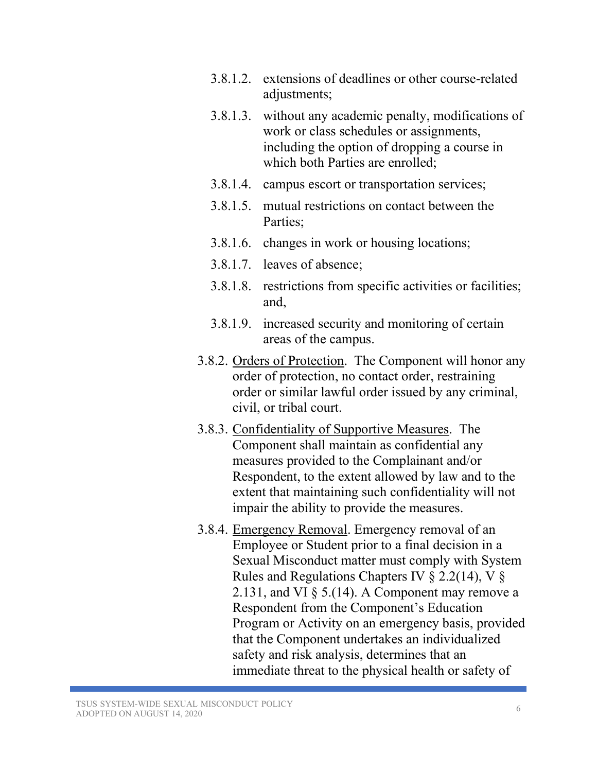- 3.8.1.2. extensions of deadlines or other course-related adjustments:
- 3.8.1.3. without any academic penalty, modifications of work or class schedules or assignments, including the option of dropping a course in which both Parties are enrolled;
- 3.8.1.4. campus escort or transportation services;
- 3.8.1.5. mutual restrictions on contact between the Parties;
- 3.8.1.6. changes in work or housing locations;
- 3.8.1.7. leaves of absence;
- 3.8.1.8. restrictions from specific activities or facilities; and,
- 3.8.1.9. increased security and monitoring of certain areas of the campus.
- 3.8.2. Orders of Protection. The Component will honor any order of protection, no contact order, restraining order or similar lawful order issued by any criminal, civil, or tribal court.
- 3.8.3. Confidentiality of Supportive Measures. The Component shall maintain as confidential any measures provided to the Complainant and/or Respondent, to the extent allowed by law and to the extent that maintaining such confidentiality will not impair the ability to provide the measures.
- 3.8.4. Emergency Removal. Emergency removal of an Employee or Student prior to a final decision in a Sexual Misconduct matter must comply with System Rules and Regulations Chapters IV  $\S$  2.2(14), V  $\S$ 2.131, and VI  $\S$  5.(14). A Component may remove a Respondent from the Component's Education Program or Activity on an emergency basis, provided that the Component undertakes an individualized safety and risk analysis, determines that an immediate threat to the physical health or safety of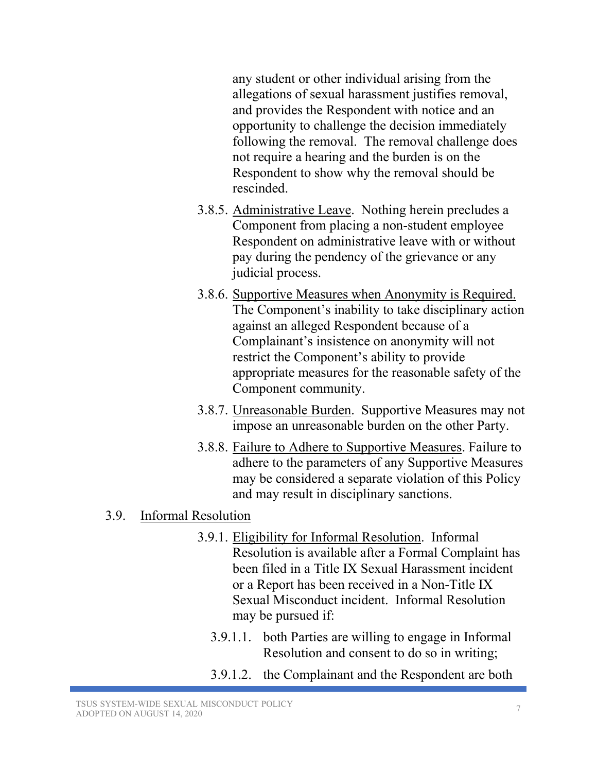any student or other individual arising from the allegations of sexual harassment justifies removal, and provides the Respondent with notice and an opportunity to challenge the decision immediately following the removal. The removal challenge does not require a hearing and the burden is on the Respondent to show why the removal should be rescinded.

- 3.8.5. Administrative Leave. Nothing herein precludes a Component from placing a non-student employee Respondent on administrative leave with or without pay during the pendency of the grievance or any judicial process.
- 3.8.6. Supportive Measures when Anonymity is Required. The Component's inability to take disciplinary action against an alleged Respondent because of a Complainant's insistence on anonymity will not restrict the Component's ability to provide appropriate measures for the reasonable safety of the Component community.
- 3.8.7. Unreasonable Burden. Supportive Measures may not impose an unreasonable burden on the other Party.
- 3.8.8. Failure to Adhere to Supportive Measures. Failure to adhere to the parameters of any Supportive Measures may be considered a separate violation of this Policy and may result in disciplinary sanctions.

#### 3.9. Informal Resolution

- 3.9.1. Eligibility for Informal Resolution. Informal Resolution is available after a Formal Complaint has been filed in a Title IX Sexual Harassment incident or a Report has been received in a Non-Title IX Sexual Misconduct incident. Informal Resolution may be pursued if:
	- 3.9.1.1. both Parties are willing to engage in Informal Resolution and consent to do so in writing;
	- 3.9.1.2. the Complainant and the Respondent are both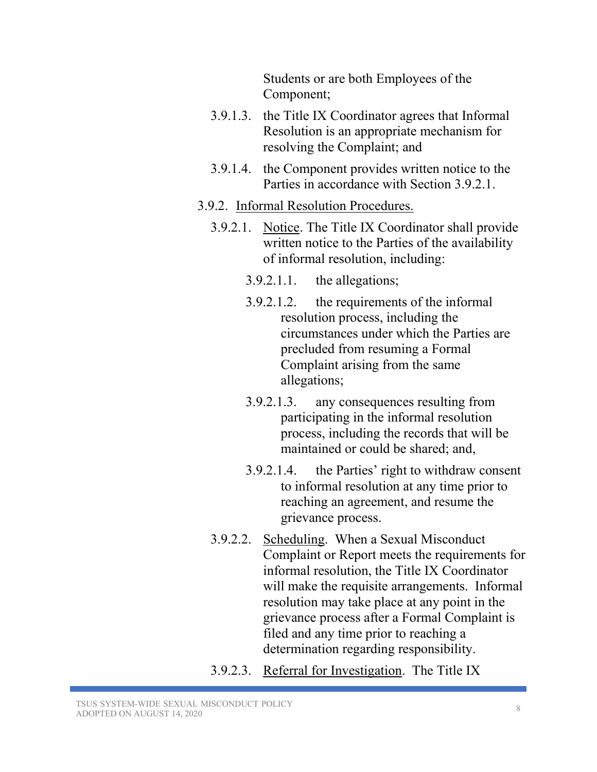Students or are both Employees of the Component;

- 3.9.1.3. the Title IX Coordinator agrees that Informal Resolution is an appropriate mechanism for resolving the Complaint; and
- 3.9.1.4. the Component provides written notice to the Parties in accordance with Section 3.9.2.1.
- 3.9.2. Informal Resolution Procedures.
	- 3.9.2.1. Notice. The Title IX Coordinator shall provide written notice to the Parties of the availability of informal resolution, including:
		- 3.9.2.1.1. the allegations;
		- 3.9.2.1.2. the requirements of the informal resolution process, including the circumstances under which the Parties are precluded from resuming a Formal Complaint arising from the same allegations;
		- 3.9.2.1.3. any consequences resulting from participating in the informal resolution process, including the records that will be maintained or could be shared; and,
		- 3.9.2.1.4. the Parties' right to withdraw consent to informal resolution at any time prior to reaching an agreement, and resume the grievance process.
	- 3.9.2.2. Scheduling. When a Sexual Misconduct Complaint or Report meets the requirements for informal resolution, the Title IX Coordinator will make the requisite arrangements. Informal resolution may take place at any point in the grievance process after a Formal Complaint is filed and any time prior to reaching a determination regarding responsibility.
	- 3.9.2.3. Referral for Investigation. The Title IX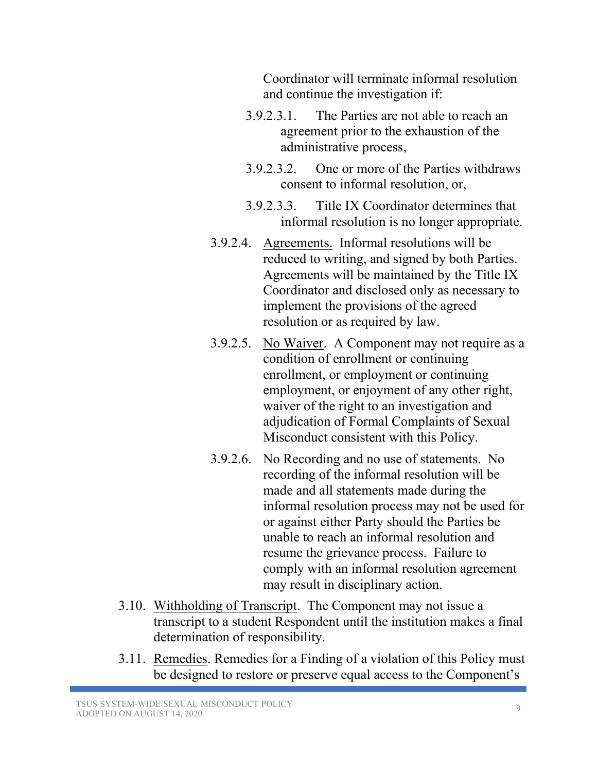Coordinator will terminate informal resolution and continue the investigation if:

- 3.9.2.3.1. The Parties are not able to reach an agreement prior to the exhaustion of the administrative process,
- 3.9.2.3.2. One or more of the Parties withdraws consent to informal resolution, or,
- 3.9.2.3.3. Title IX Coordinator determines that informal resolution is no longer appropriate.
- 3.9.2.4. Agreements. Informal resolutions will be reduced to writing, and signed by both Parties. Agreements will be maintained by the Title IX Coordinator and disclosed only as necessary to implement the provisions of the agreed resolution or as required by law.
- 3.9.2.5. No Waiver. A Component may not require as a condition of enrollment or continuing enrollment, or employment or continuing employment, or enjoyment of any other right, waiver of the right to an investigation and adjudication of Formal Complaints of Sexual Misconduct consistent with this Policy.
- 3.9.2.6. No Recording and no use of statements. No recording of the informal resolution will be made and all statements made during the informal resolution process may not be used for or against either Party should the Parties be unable to reach an informal resolution and resume the grievance process. Failure to comply with an informal resolution agreement may result in disciplinary action.
- 3.10. Withholding of Transcript. The Component may not issue a transcript to a student Respondent until the institution makes a final determination of responsibility.
- 3.11. Remedies. Remedies for a Finding of a violation of this Policy must be designed to restore or preserve equal access to the Component's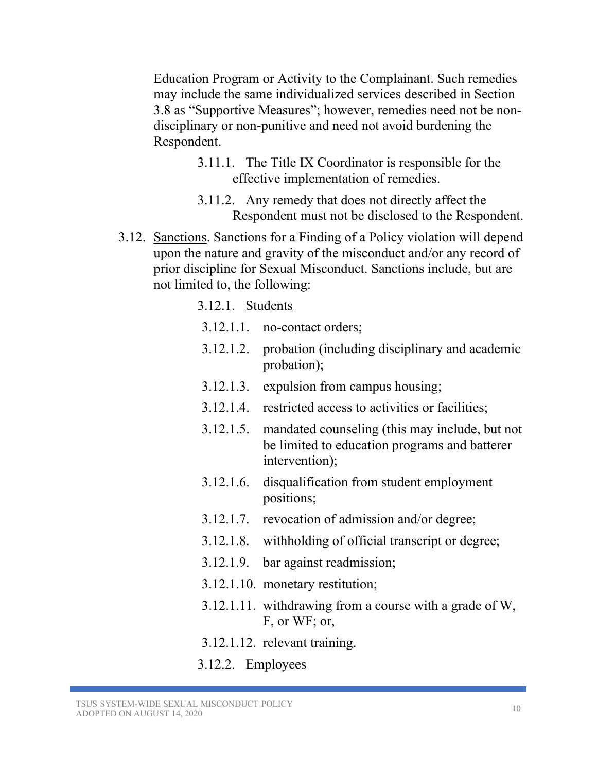Education Program or Activity to the Complainant. Such remedies may include the same individualized services described in Section 3.8 as "Supportive Measures"; however, remedies need not be nondisciplinary or non-punitive and need not avoid burdening the Respondent.

- 3.11.1. The Title IX Coordinator is responsible for the effective implementation of remedies.
- 3.11.2. Any remedy that does not directly affect the Respondent must not be disclosed to the Respondent.
- 3.12. Sanctions. Sanctions for a Finding of a Policy violation will depend upon the nature and gravity of the misconduct and/or any record of prior discipline for Sexual Misconduct. Sanctions include, but are not limited to, the following:

#### 3.12.1. Students

- 3.12.1.1. no-contact orders;
- 3.12.1.2. probation (including disciplinary and academic probation);
- 3.12.1.3. expulsion from campus housing;
- 3.12.1.4. restricted access to activities or facilities;
- 3.12.1.5. mandated counseling (this may include, but not be limited to education programs and batterer intervention);
- 3.12.1.6. disqualification from student employment positions;
- 3.12.1.7. revocation of admission and/or degree;
- 3.12.1.8. withholding of official transcript or degree;
- 3.12.1.9. bar against readmission;
- 3.12.1.10. monetary restitution;
- 3.12.1.11. withdrawing from a course with a grade of W, F, or WF; or,
- 3.12.1.12. relevant training.
- 3.12.2. Employees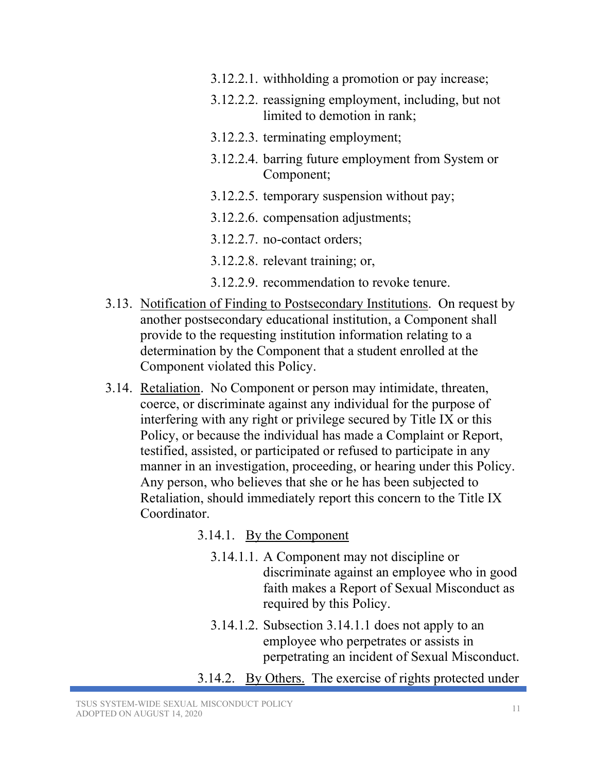- 3.12.2.1. withholding a promotion or pay increase;
- 3.12.2.2. reassigning employment, including, but not limited to demotion in rank;
- 3.12.2.3. terminating employment;
- 3.12.2.4. barring future employment from System or Component;
- 3.12.2.5. temporary suspension without pay;
- 3.12.2.6. compensation adjustments;
- 3.12.2.7. no-contact orders;
- 3.12.2.8. relevant training; or,
- 3.12.2.9. recommendation to revoke tenure.
- 3.13. Notification of Finding to Postsecondary Institutions. On request by another postsecondary educational institution, a Component shall provide to the requesting institution information relating to a determination by the Component that a student enrolled at the Component violated this Policy.
- 3.14. Retaliation. No Component or person may intimidate, threaten, coerce, or discriminate against any individual for the purpose of interfering with any right or privilege secured by Title IX or this Policy, or because the individual has made a Complaint or Report, testified, assisted, or participated or refused to participate in any manner in an investigation, proceeding, or hearing under this Policy. Any person, who believes that she or he has been subjected to Retaliation, should immediately report this concern to the Title IX Coordinator.

#### 3.14.1. By the Component

- 3.14.1.1. A Component may not discipline or discriminate against an employee who in good faith makes a Report of Sexual Misconduct as required by this Policy.
- 3.14.1.2. Subsection 3.14.1.1 does not apply to an employee who perpetrates or assists in perpetrating an incident of Sexual Misconduct.
- 3.14.2. By Others. The exercise of rights protected under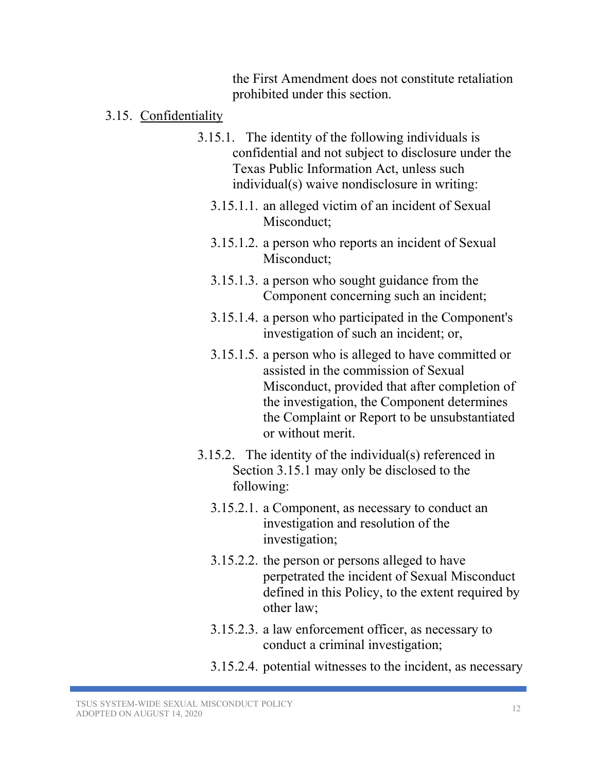the First Amendment does not constitute retaliation prohibited under this section.

- 3.15. Confidentiality
	- 3.15.1. The identity of the following individuals is confidential and not subject to disclosure under the Texas Public Information Act, unless such individual(s) waive nondisclosure in writing:
		- 3.15.1.1. an alleged victim of an incident of Sexual Misconduct:
		- 3.15.1.2. a person who reports an incident of Sexual Misconduct;
		- 3.15.1.3. a person who sought guidance from the Component concerning such an incident;
		- 3.15.1.4. a person who participated in the Component's investigation of such an incident; or,
		- 3.15.1.5. a person who is alleged to have committed or assisted in the commission of Sexual Misconduct, provided that after completion of the investigation, the Component determines the Complaint or Report to be unsubstantiated or without merit.
	- 3.15.2. The identity of the individual(s) referenced in Section 3.15.1 may only be disclosed to the following:
		- 3.15.2.1. a Component, as necessary to conduct an investigation and resolution of the investigation;
		- 3.15.2.2. the person or persons alleged to have perpetrated the incident of Sexual Misconduct defined in this Policy, to the extent required by other law;
		- 3.15.2.3. a law enforcement officer, as necessary to conduct a criminal investigation;
		- 3.15.2.4. potential witnesses to the incident, as necessary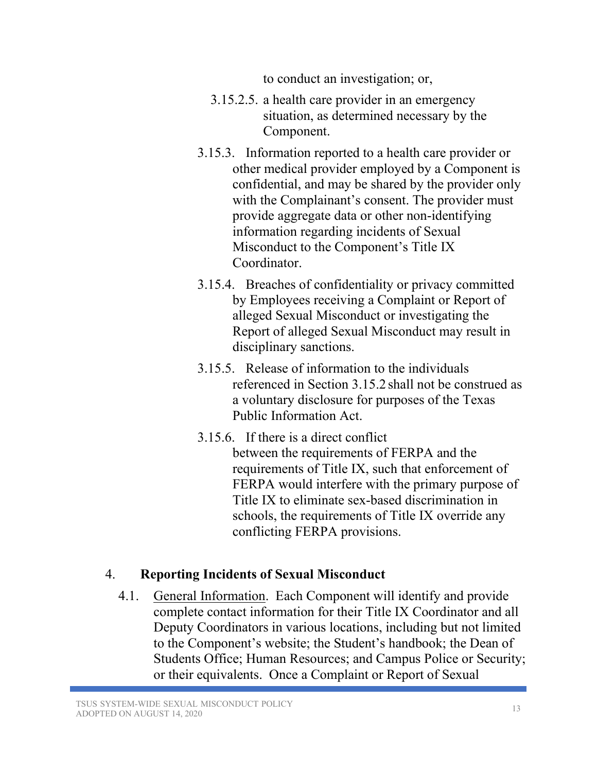to conduct an investigation; or,

- 3.15.2.5. a health care provider in an emergency situation, as determined necessary by the Component.
- 3.15.3. Information reported to a health care provider or other medical provider employed by a Component is confidential, and may be shared by the provider only with the Complainant's consent. The provider must provide aggregate data or other non-identifying information regarding incidents of Sexual Misconduct to the Component's Title IX Coordinator.
- 3.15.4. Breaches of confidentiality or privacy committed by Employees receiving a Complaint or Report of alleged Sexual Misconduct or investigating the Report of alleged Sexual Misconduct may result in disciplinary sanctions.
- 3.15.5. Release of information to the individuals referenced in Section 3.15.2 shall not be construed as a voluntary disclosure for purposes of the Texas Public Information Act.
- 3.15.6. If there is a direct conflict between the requirements of FERPA and the requirements of Title IX, such that enforcement of FERPA would interfere with the primary purpose of Title IX to eliminate sex-based discrimination in schools, the requirements of Title IX override any conflicting FERPA provisions.

# 4. **Reporting Incidents of Sexual Misconduct**

4.1. General Information. Each Component will identify and provide complete contact information for their Title IX Coordinator and all Deputy Coordinators in various locations, including but not limited to the Component's website; the Student's handbook; the Dean of Students Office; Human Resources; and Campus Police or Security; or their equivalents. Once a Complaint or Report of Sexual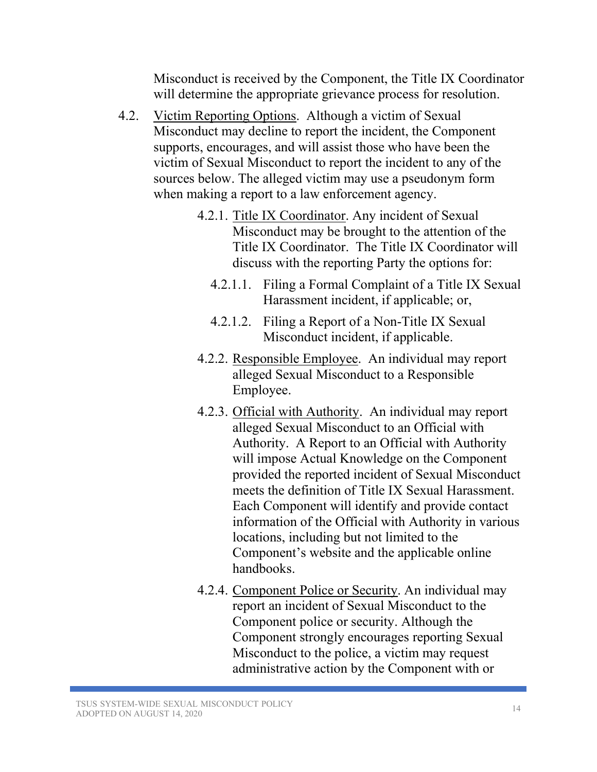Misconduct is received by the Component, the Title IX Coordinator will determine the appropriate grievance process for resolution.

- 4.2. Victim Reporting Options. Although a victim of Sexual Misconduct may decline to report the incident, the Component supports, encourages, and will assist those who have been the victim of Sexual Misconduct to report the incident to any of the sources below. The alleged victim may use a pseudonym form when making a report to a law enforcement agency.
	- 4.2.1. Title IX Coordinator. Any incident of Sexual Misconduct may be brought to the attention of the Title IX Coordinator. The Title IX Coordinator will discuss with the reporting Party the options for:
		- 4.2.1.1. Filing a Formal Complaint of a Title IX Sexual Harassment incident, if applicable; or,
		- 4.2.1.2. Filing a Report of a Non-Title IX Sexual Misconduct incident, if applicable.
	- 4.2.2. Responsible Employee. An individual may report alleged Sexual Misconduct to a Responsible Employee.
	- 4.2.3. Official with Authority. An individual may report alleged Sexual Misconduct to an Official with Authority. A Report to an Official with Authority will impose Actual Knowledge on the Component provided the reported incident of Sexual Misconduct meets the definition of Title IX Sexual Harassment. Each Component will identify and provide contact information of the Official with Authority in various locations, including but not limited to the Component's website and the applicable online handbooks.
	- 4.2.4. Component Police or Security. An individual may report an incident of Sexual Misconduct to the Component police or security. Although the Component strongly encourages reporting Sexual Misconduct to the police, a victim may request administrative action by the Component with or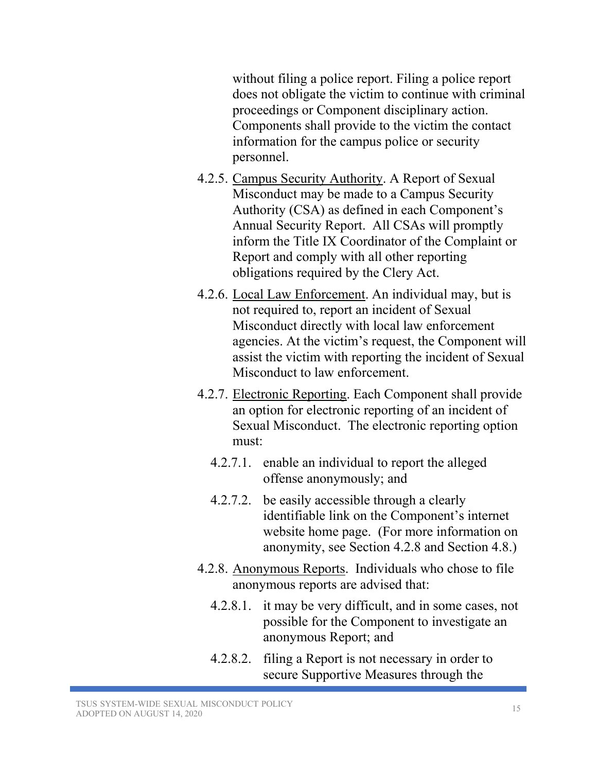without filing a police report. Filing a police report does not obligate the victim to continue with criminal proceedings or Component disciplinary action. Components shall provide to the victim the contact information for the campus police or security personnel.

- 4.2.5. Campus Security Authority. A Report of Sexual Misconduct may be made to a Campus Security Authority (CSA) as defined in each Component's Annual Security Report. All CSAs will promptly inform the Title IX Coordinator of the Complaint or Report and comply with all other reporting obligations required by the Clery Act.
- 4.2.6. Local Law Enforcement. An individual may, but is not required to, report an incident of Sexual Misconduct directly with local law enforcement agencies. At the victim's request, the Component will assist the victim with reporting the incident of Sexual Misconduct to law enforcement.
- 4.2.7. Electronic Reporting. Each Component shall provide an option for electronic reporting of an incident of Sexual Misconduct. The electronic reporting option must:
	- 4.2.7.1. enable an individual to report the alleged offense anonymously; and
	- 4.2.7.2. be easily accessible through a clearly identifiable link on the Component's internet website home page. (For more information on anonymity, see Section 4.2.8 and Section 4.8.)
- 4.2.8. Anonymous Reports. Individuals who chose to file anonymous reports are advised that:
	- 4.2.8.1. it may be very difficult, and in some cases, not possible for the Component to investigate an anonymous Report; and
	- 4.2.8.2. filing a Report is not necessary in order to secure Supportive Measures through the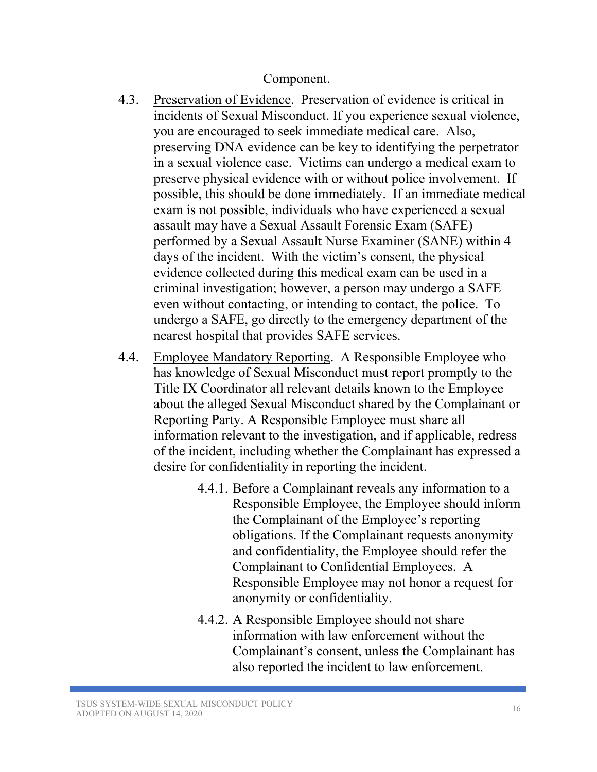Component.

- 4.3. Preservation of Evidence. Preservation of evidence is critical in incidents of Sexual Misconduct. If you experience sexual violence, you are encouraged to seek immediate medical care. Also, preserving DNA evidence can be key to identifying the perpetrator in a sexual violence case. Victims can undergo a medical exam to preserve physical evidence with or without police involvement. If possible, this should be done immediately. If an immediate medical exam is not possible, individuals who have experienced a sexual assault may have a Sexual Assault Forensic Exam (SAFE) performed by a Sexual Assault Nurse Examiner (SANE) within 4 days of the incident. With the victim's consent, the physical evidence collected during this medical exam can be used in a criminal investigation; however, a person may undergo a SAFE even without contacting, or intending to contact, the police. To undergo a SAFE, go directly to the emergency department of the nearest hospital that provides SAFE services.
- 4.4. Employee Mandatory Reporting. A Responsible Employee who has knowledge of Sexual Misconduct must report promptly to the Title IX Coordinator all relevant details known to the Employee about the alleged Sexual Misconduct shared by the Complainant or Reporting Party. A Responsible Employee must share all information relevant to the investigation, and if applicable, redress of the incident, including whether the Complainant has expressed a desire for confidentiality in reporting the incident.
	- 4.4.1. Before a Complainant reveals any information to a Responsible Employee, the Employee should inform the Complainant of the Employee's reporting obligations. If the Complainant requests anonymity and confidentiality, the Employee should refer the Complainant to Confidential Employees. A Responsible Employee may not honor a request for anonymity or confidentiality.
	- 4.4.2. A Responsible Employee should not share information with law enforcement without the Complainant's consent, unless the Complainant has also reported the incident to law enforcement.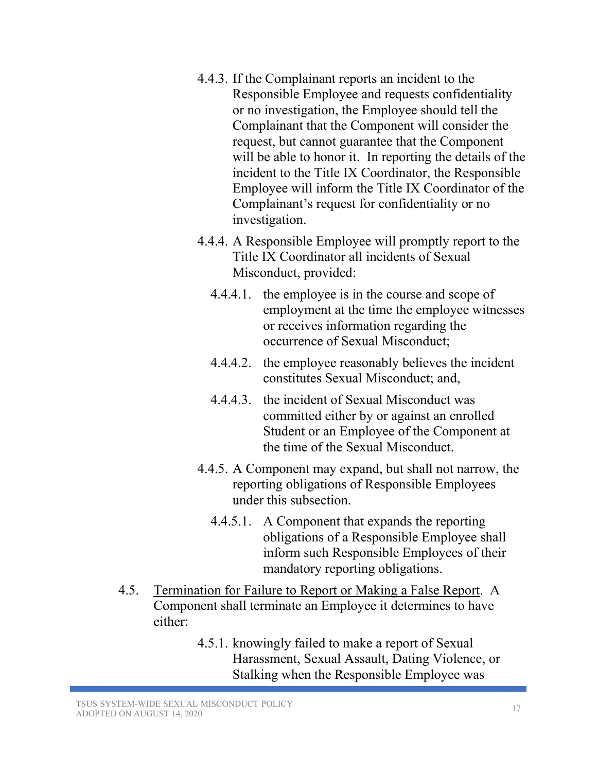- 4.4.3. If the Complainant reports an incident to the Responsible Employee and requests confidentiality or no investigation, the Employee should tell the Complainant that the Component will consider the request, but cannot guarantee that the Component will be able to honor it. In reporting the details of the incident to the Title IX Coordinator, the Responsible Employee will inform the Title IX Coordinator of the Complainant's request for confidentiality or no investigation.
- 4.4.4. A Responsible Employee will promptly report to the Title IX Coordinator all incidents of Sexual Misconduct, provided:
	- 4.4.4.1. the employee is in the course and scope of employment at the time the employee witnesses or receives information regarding the occurrence of Sexual Misconduct;
	- 4.4.4.2. the employee reasonably believes the incident constitutes Sexual Misconduct; and,
	- 4.4.4.3. the incident of Sexual Misconduct was committed either by or against an enrolled Student or an Employee of the Component at the time of the Sexual Misconduct.
- 4.4.5. A Component may expand, but shall not narrow, the reporting obligations of Responsible Employees under this subsection.
	- 4.4.5.1. A Component that expands the reporting obligations of a Responsible Employee shall inform such Responsible Employees of their mandatory reporting obligations.
- 4.5. Termination for Failure to Report or Making a False Report. A Component shall terminate an Employee it determines to have either:
	- 4.5.1. knowingly failed to make a report of Sexual Harassment, Sexual Assault, Dating Violence, or Stalking when the Responsible Employee was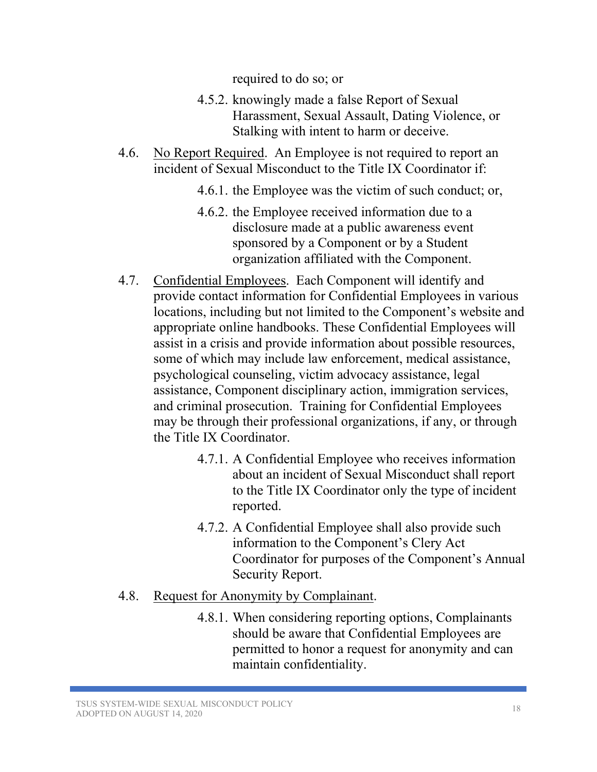required to do so; or

- 4.5.2. knowingly made a false Report of Sexual Harassment, Sexual Assault, Dating Violence, or Stalking with intent to harm or deceive.
- 4.6. No Report Required. An Employee is not required to report an incident of Sexual Misconduct to the Title IX Coordinator if:
	- 4.6.1. the Employee was the victim of such conduct; or,
	- 4.6.2. the Employee received information due to a disclosure made at a public awareness event sponsored by a Component or by a Student organization affiliated with the Component.
- 4.7. Confidential Employees. Each Component will identify and provide contact information for Confidential Employees in various locations, including but not limited to the Component's website and appropriate online handbooks. These Confidential Employees will assist in a crisis and provide information about possible resources, some of which may include law enforcement, medical assistance, psychological counseling, victim advocacy assistance, legal assistance, Component disciplinary action, immigration services, and criminal prosecution. Training for Confidential Employees may be through their professional organizations, if any, or through the Title IX Coordinator.
	- 4.7.1. A Confidential Employee who receives information about an incident of Sexual Misconduct shall report to the Title IX Coordinator only the type of incident reported.
	- 4.7.2. A Confidential Employee shall also provide such information to the Component's Clery Act Coordinator for purposes of the Component's Annual Security Report.
- 4.8. Request for Anonymity by Complainant.
	- 4.8.1. When considering reporting options, Complainants should be aware that Confidential Employees are permitted to honor a request for anonymity and can maintain confidentiality.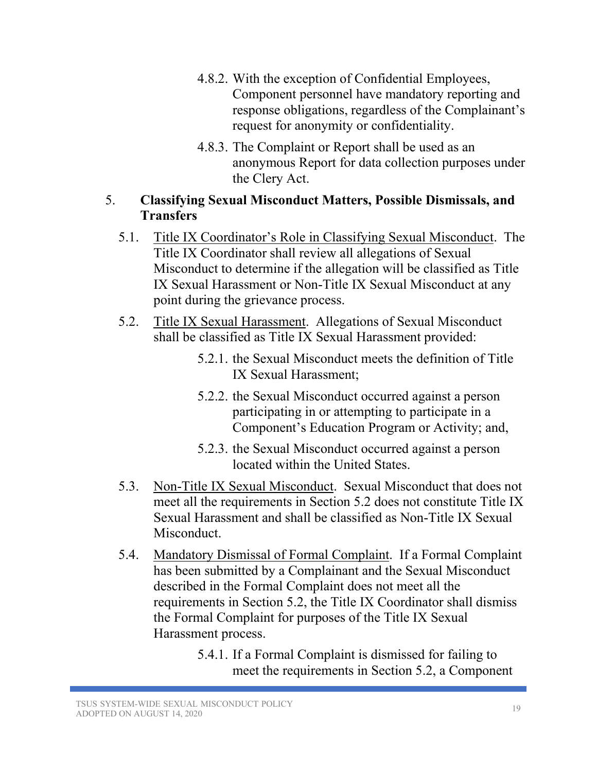- 4.8.2. With the exception of Confidential Employees, Component personnel have mandatory reporting and response obligations, regardless of the Complainant's request for anonymity or confidentiality.
- 4.8.3. The Complaint or Report shall be used as an anonymous Report for data collection purposes under the Clery Act.

# 5. **Classifying Sexual Misconduct Matters, Possible Dismissals, and Transfers**

- 5.1. Title IX Coordinator's Role in Classifying Sexual Misconduct. The Title IX Coordinator shall review all allegations of Sexual Misconduct to determine if the allegation will be classified as Title IX Sexual Harassment or Non-Title IX Sexual Misconduct at any point during the grievance process.
- 5.2. Title IX Sexual Harassment. Allegations of Sexual Misconduct shall be classified as Title IX Sexual Harassment provided:
	- 5.2.1. the Sexual Misconduct meets the definition of Title IX Sexual Harassment;
	- 5.2.2. the Sexual Misconduct occurred against a person participating in or attempting to participate in a Component's Education Program or Activity; and,
	- 5.2.3. the Sexual Misconduct occurred against a person located within the United States.
- 5.3. Non-Title IX Sexual Misconduct. Sexual Misconduct that does not meet all the requirements in Section 5.2 does not constitute Title IX Sexual Harassment and shall be classified as Non-Title IX Sexual Misconduct.
- 5.4. Mandatory Dismissal of Formal Complaint. If a Formal Complaint has been submitted by a Complainant and the Sexual Misconduct described in the Formal Complaint does not meet all the requirements in Section 5.2, the Title IX Coordinator shall dismiss the Formal Complaint for purposes of the Title IX Sexual Harassment process.
	- 5.4.1. If a Formal Complaint is dismissed for failing to meet the requirements in Section 5.2, a Component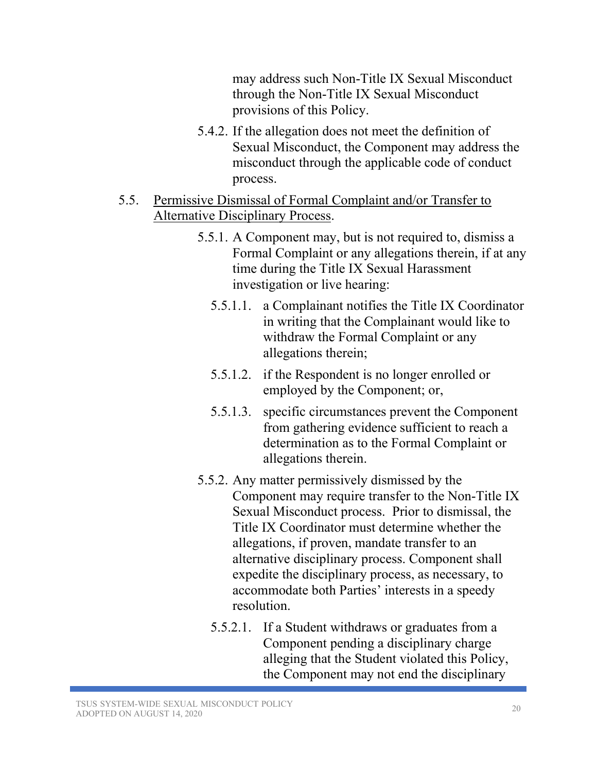may address such Non-Title IX Sexual Misconduct through the Non-Title IX Sexual Misconduct provisions of this Policy.

- 5.4.2. If the allegation does not meet the definition of Sexual Misconduct, the Component may address the misconduct through the applicable code of conduct process.
- 5.5. Permissive Dismissal of Formal Complaint and/or Transfer to Alternative Disciplinary Process.
	- 5.5.1. A Component may, but is not required to, dismiss a Formal Complaint or any allegations therein, if at any time during the Title IX Sexual Harassment investigation or live hearing:
		- 5.5.1.1. a Complainant notifies the Title IX Coordinator in writing that the Complainant would like to withdraw the Formal Complaint or any allegations therein;
		- 5.5.1.2. if the Respondent is no longer enrolled or employed by the Component; or,
		- 5.5.1.3. specific circumstances prevent the Component from gathering evidence sufficient to reach a determination as to the Formal Complaint or allegations therein.
	- 5.5.2. Any matter permissively dismissed by the Component may require transfer to the Non-Title IX Sexual Misconduct process. Prior to dismissal, the Title IX Coordinator must determine whether the allegations, if proven, mandate transfer to an alternative disciplinary process. Component shall expedite the disciplinary process, as necessary, to accommodate both Parties' interests in a speedy resolution.
		- 5.5.2.1. If a Student withdraws or graduates from a Component pending a disciplinary charge alleging that the Student violated this Policy, the Component may not end the disciplinary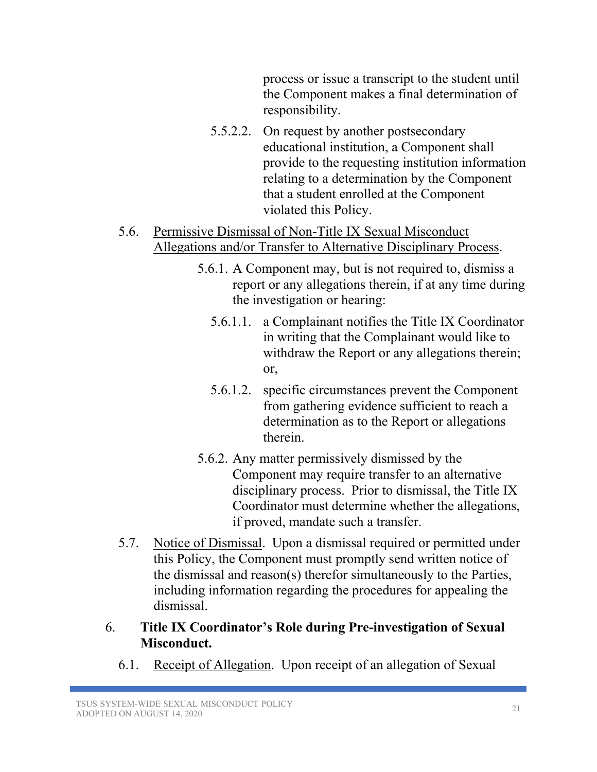process or issue a transcript to the student until the Component makes a final determination of responsibility.

- 5.5.2.2. On request by another postsecondary educational institution, a Component shall provide to the requesting institution information relating to a determination by the Component that a student enrolled at the Component violated this Policy.
- 5.6. Permissive Dismissal of Non-Title IX Sexual Misconduct Allegations and/or Transfer to Alternative Disciplinary Process.
	- 5.6.1. A Component may, but is not required to, dismiss a report or any allegations therein, if at any time during the investigation or hearing:
		- 5.6.1.1. a Complainant notifies the Title IX Coordinator in writing that the Complainant would like to withdraw the Report or any allegations therein; or,
		- 5.6.1.2. specific circumstances prevent the Component from gathering evidence sufficient to reach a determination as to the Report or allegations therein.
	- 5.6.2. Any matter permissively dismissed by the Component may require transfer to an alternative disciplinary process. Prior to dismissal, the Title IX Coordinator must determine whether the allegations, if proved, mandate such a transfer.
- 5.7. Notice of Dismissal. Upon a dismissal required or permitted under this Policy, the Component must promptly send written notice of the dismissal and reason(s) therefor simultaneously to the Parties, including information regarding the procedures for appealing the dismissal.
- 6. **Title IX Coordinator's Role during Pre-investigation of Sexual Misconduct.** 
	- 6.1. Receipt of Allegation. Upon receipt of an allegation of Sexual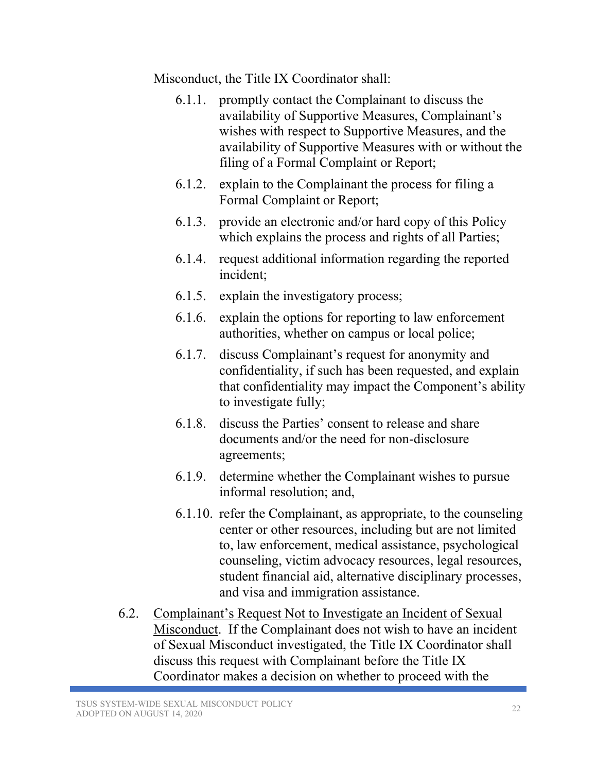Misconduct, the Title IX Coordinator shall:

- 6.1.1. promptly contact the Complainant to discuss the availability of Supportive Measures, Complainant's wishes with respect to Supportive Measures, and the availability of Supportive Measures with or without the filing of a Formal Complaint or Report;
- 6.1.2. explain to the Complainant the process for filing a Formal Complaint or Report;
- 6.1.3. provide an electronic and/or hard copy of this Policy which explains the process and rights of all Parties;
- 6.1.4. request additional information regarding the reported incident;
- 6.1.5. explain the investigatory process;
- 6.1.6. explain the options for reporting to law enforcement authorities, whether on campus or local police;
- 6.1.7. discuss Complainant's request for anonymity and confidentiality, if such has been requested, and explain that confidentiality may impact the Component's ability to investigate fully;
- 6.1.8. discuss the Parties' consent to release and share documents and/or the need for non-disclosure agreements;
- 6.1.9. determine whether the Complainant wishes to pursue informal resolution; and,
- 6.1.10. refer the Complainant, as appropriate, to the counseling center or other resources, including but are not limited to, law enforcement, medical assistance, psychological counseling, victim advocacy resources, legal resources, student financial aid, alternative disciplinary processes, and visa and immigration assistance.
- 6.2. Complainant's Request Not to Investigate an Incident of Sexual Misconduct. If the Complainant does not wish to have an incident of Sexual Misconduct investigated, the Title IX Coordinator shall discuss this request with Complainant before the Title IX Coordinator makes a decision on whether to proceed with the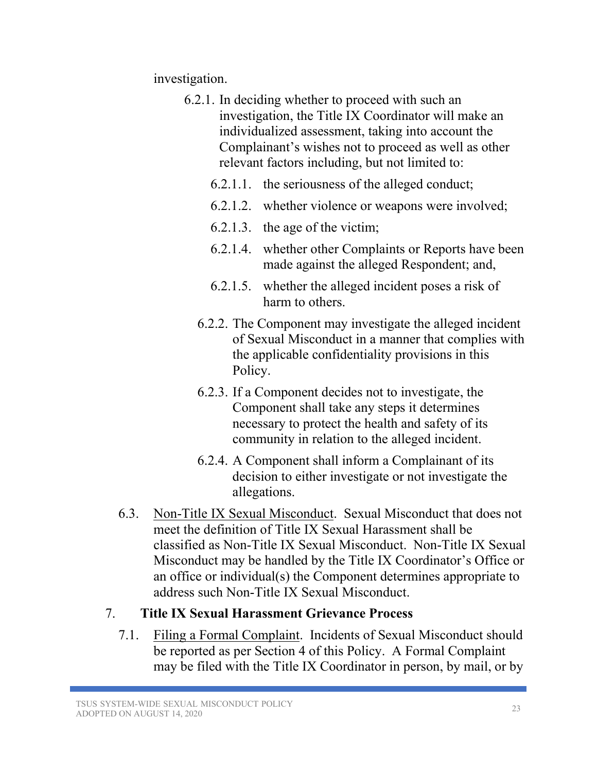investigation.

- 6.2.1. In deciding whether to proceed with such an investigation, the Title IX Coordinator will make an individualized assessment, taking into account the Complainant's wishes not to proceed as well as other relevant factors including, but not limited to:
	- 6.2.1.1. the seriousness of the alleged conduct;
	- 6.2.1.2. whether violence or weapons were involved;
	- 6.2.1.3. the age of the victim;
	- 6.2.1.4. whether other Complaints or Reports have been made against the alleged Respondent; and,
	- 6.2.1.5. whether the alleged incident poses a risk of harm to others.
	- 6.2.2. The Component may investigate the alleged incident of Sexual Misconduct in a manner that complies with the applicable confidentiality provisions in this Policy.
	- 6.2.3. If a Component decides not to investigate, the Component shall take any steps it determines necessary to protect the health and safety of its community in relation to the alleged incident.
	- 6.2.4. A Component shall inform a Complainant of its decision to either investigate or not investigate the allegations.
- 6.3. Non-Title IX Sexual Misconduct. Sexual Misconduct that does not meet the definition of Title IX Sexual Harassment shall be classified as Non-Title IX Sexual Misconduct. Non-Title IX Sexual Misconduct may be handled by the Title IX Coordinator's Office or an office or individual(s) the Component determines appropriate to address such Non-Title IX Sexual Misconduct.

# 7. **Title IX Sexual Harassment Grievance Process**

7.1. Filing a Formal Complaint. Incidents of Sexual Misconduct should be reported as per Section 4 of this Policy. A Formal Complaint may be filed with the Title IX Coordinator in person, by mail, or by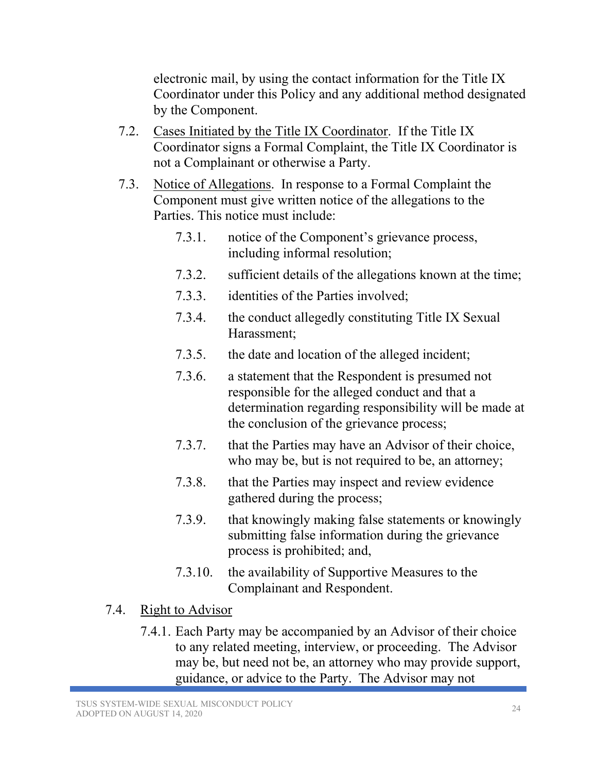electronic mail, by using the contact information for the Title IX Coordinator under this Policy and any additional method designated by the Component.

- 7.2. Cases Initiated by the Title IX Coordinator. If the Title IX Coordinator signs a Formal Complaint, the Title IX Coordinator is not a Complainant or otherwise a Party.
- 7.3. Notice of Allegations. In response to a Formal Complaint the Component must give written notice of the allegations to the Parties. This notice must include:
	- 7.3.1. notice of the Component's grievance process, including informal resolution;
	- 7.3.2. sufficient details of the allegations known at the time;
	- 7.3.3. identities of the Parties involved;
	- 7.3.4. the conduct allegedly constituting Title IX Sexual Harassment;
	- 7.3.5. the date and location of the alleged incident;
	- 7.3.6. a statement that the Respondent is presumed not responsible for the alleged conduct and that a determination regarding responsibility will be made at the conclusion of the grievance process;
	- 7.3.7. that the Parties may have an Advisor of their choice, who may be, but is not required to be, an attorney;
	- 7.3.8. that the Parties may inspect and review evidence gathered during the process;
	- 7.3.9. that knowingly making false statements or knowingly submitting false information during the grievance process is prohibited; and,
	- 7.3.10. the availability of Supportive Measures to the Complainant and Respondent.
- 7.4. Right to Advisor
	- 7.4.1. Each Party may be accompanied by an Advisor of their choice to any related meeting, interview, or proceeding. The Advisor may be, but need not be, an attorney who may provide support, guidance, or advice to the Party. The Advisor may not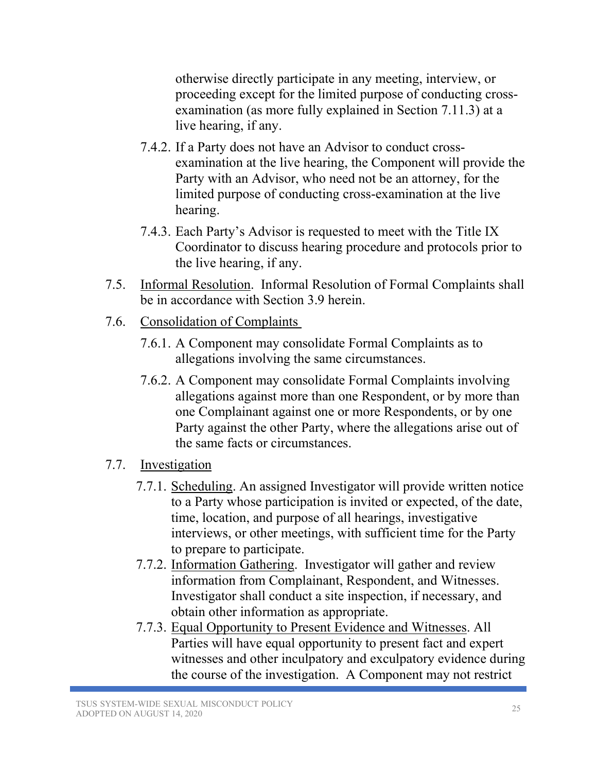otherwise directly participate in any meeting, interview, or proceeding except for the limited purpose of conducting crossexamination (as more fully explained in Section 7.11.3) at a live hearing, if any.

- 7.4.2. If a Party does not have an Advisor to conduct crossexamination at the live hearing, the Component will provide the Party with an Advisor, who need not be an attorney, for the limited purpose of conducting cross-examination at the live hearing.
- 7.4.3. Each Party's Advisor is requested to meet with the Title IX Coordinator to discuss hearing procedure and protocols prior to the live hearing, if any.
- 7.5. Informal Resolution. Informal Resolution of Formal Complaints shall be in accordance with Section 3.9 herein.
- 7.6. Consolidation of Complaints
	- 7.6.1. A Component may consolidate Formal Complaints as to allegations involving the same circumstances.
	- 7.6.2. A Component may consolidate Formal Complaints involving allegations against more than one Respondent, or by more than one Complainant against one or more Respondents, or by one Party against the other Party, where the allegations arise out of the same facts or circumstances.
- 7.7. Investigation
	- 7.7.1. Scheduling. An assigned Investigator will provide written notice to a Party whose participation is invited or expected, of the date, time, location, and purpose of all hearings, investigative interviews, or other meetings, with sufficient time for the Party to prepare to participate.
	- 7.7.2. Information Gathering. Investigator will gather and review information from Complainant, Respondent, and Witnesses. Investigator shall conduct a site inspection, if necessary, and obtain other information as appropriate.
	- 7.7.3. Equal Opportunity to Present Evidence and Witnesses. All Parties will have equal opportunity to present fact and expert witnesses and other inculpatory and exculpatory evidence during the course of the investigation. A Component may not restrict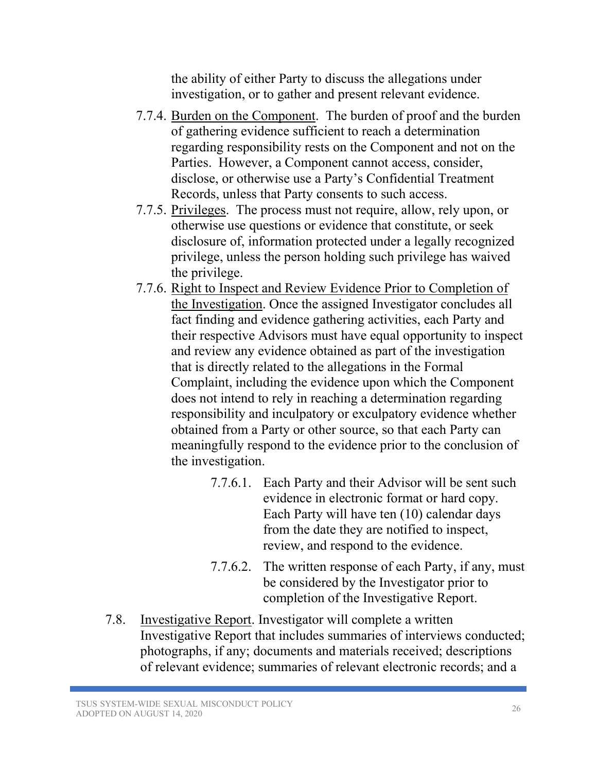the ability of either Party to discuss the allegations under investigation, or to gather and present relevant evidence.

- 7.7.4. Burden on the Component. The burden of proof and the burden of gathering evidence sufficient to reach a determination regarding responsibility rests on the Component and not on the Parties. However, a Component cannot access, consider, disclose, or otherwise use a Party's Confidential Treatment Records, unless that Party consents to such access.
- 7.7.5. Privileges. The process must not require, allow, rely upon, or otherwise use questions or evidence that constitute, or seek disclosure of, information protected under a legally recognized privilege, unless the person holding such privilege has waived the privilege.
- 7.7.6. Right to Inspect and Review Evidence Prior to Completion of the Investigation. Once the assigned Investigator concludes all fact finding and evidence gathering activities, each Party and their respective Advisors must have equal opportunity to inspect and review any evidence obtained as part of the investigation that is directly related to the allegations in the Formal Complaint, including the evidence upon which the Component does not intend to rely in reaching a determination regarding responsibility and inculpatory or exculpatory evidence whether obtained from a Party or other source, so that each Party can meaningfully respond to the evidence prior to the conclusion of the investigation.
	- 7.7.6.1. Each Party and their Advisor will be sent such evidence in electronic format or hard copy. Each Party will have ten (10) calendar days from the date they are notified to inspect, review, and respond to the evidence.
	- 7.7.6.2. The written response of each Party, if any, must be considered by the Investigator prior to completion of the Investigative Report.
- 7.8. Investigative Report. Investigator will complete a written Investigative Report that includes summaries of interviews conducted; photographs, if any; documents and materials received; descriptions of relevant evidence; summaries of relevant electronic records; and a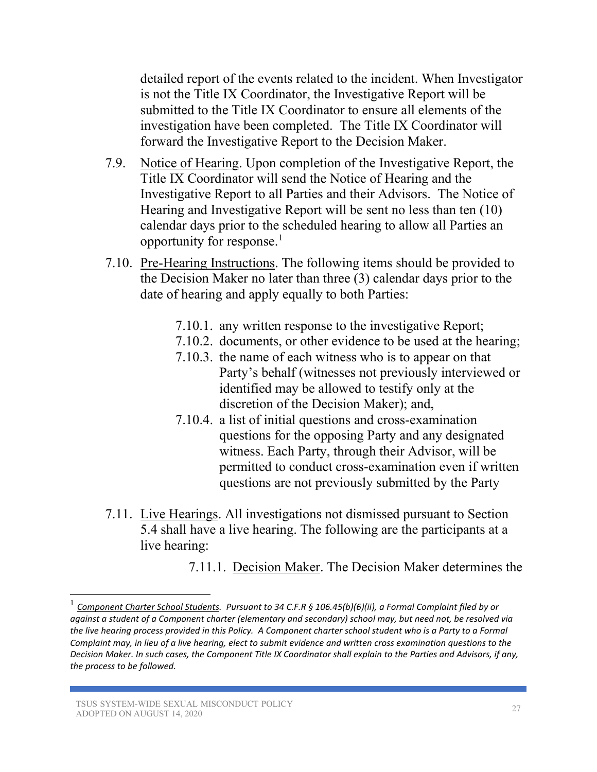detailed report of the events related to the incident. When Investigator is not the Title IX Coordinator, the Investigative Report will be submitted to the Title IX Coordinator to ensure all elements of the investigation have been completed. The Title IX Coordinator will forward the Investigative Report to the Decision Maker.

- 7.9. Notice of Hearing. Upon completion of the Investigative Report, the Title IX Coordinator will send the Notice of Hearing and the Investigative Report to all Parties and their Advisors. The Notice of Hearing and Investigative Report will be sent no less than ten (10) calendar days prior to the scheduled hearing to allow all Parties an opportunity for response.[1](#page-26-0)
- 7.10. Pre-Hearing Instructions. The following items should be provided to the Decision Maker no later than three (3) calendar days prior to the date of hearing and apply equally to both Parties:
	- 7.10.1. any written response to the investigative Report;
	- 7.10.2. documents, or other evidence to be used at the hearing;
	- 7.10.3. the name of each witness who is to appear on that Party's behalf (witnesses not previously interviewed or identified may be allowed to testify only at the discretion of the Decision Maker); and,
	- 7.10.4. a list of initial questions and cross-examination questions for the opposing Party and any designated witness. Each Party, through their Advisor, will be permitted to conduct cross-examination even if written questions are not previously submitted by the Party
- 7.11. Live Hearings. All investigations not dismissed pursuant to Section 5.4 shall have a live hearing. The following are the participants at a live hearing:
	- 7.11.1. Decision Maker. The Decision Maker determines the

<span id="page-26-0"></span><sup>1</sup> *Component Charter School Students. Pursuant to 34 C.F.R § 106.45(b)(6)(ii), a Formal Complaint filed by or against a student of a Component charter (elementary and secondary) school may, but need not, be resolved via the live hearing process provided in this Policy. A Component charter school student who is a Party to a Formal Complaint may, in lieu of a live hearing, elect to submit evidence and written cross examination questions to the Decision Maker. In such cases, the Component Title IX Coordinator shall explain to the Parties and Advisors, if any, the process to be followed.*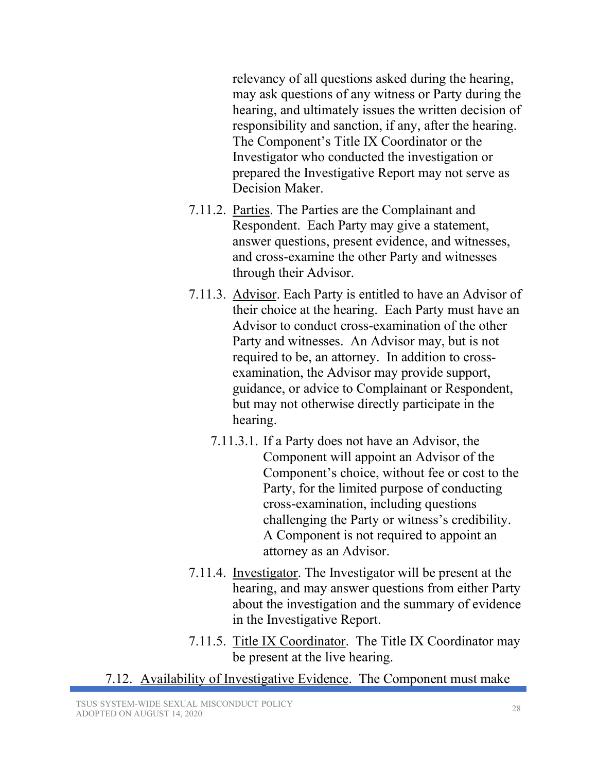relevancy of all questions asked during the hearing, may ask questions of any witness or Party during the hearing, and ultimately issues the written decision of responsibility and sanction, if any, after the hearing. The Component's Title IX Coordinator or the Investigator who conducted the investigation or prepared the Investigative Report may not serve as Decision Maker.

- 7.11.2. Parties. The Parties are the Complainant and Respondent. Each Party may give a statement, answer questions, present evidence, and witnesses, and cross-examine the other Party and witnesses through their Advisor.
- 7.11.3. Advisor. Each Party is entitled to have an Advisor of their choice at the hearing. Each Party must have an Advisor to conduct cross-examination of the other Party and witnesses. An Advisor may, but is not required to be, an attorney. In addition to crossexamination, the Advisor may provide support, guidance, or advice to Complainant or Respondent, but may not otherwise directly participate in the hearing.
	- 7.11.3.1. If a Party does not have an Advisor, the Component will appoint an Advisor of the Component's choice, without fee or cost to the Party, for the limited purpose of conducting cross-examination, including questions challenging the Party or witness's credibility. A Component is not required to appoint an attorney as an Advisor.
- 7.11.4. Investigator. The Investigator will be present at the hearing, and may answer questions from either Party about the investigation and the summary of evidence in the Investigative Report.
- 7.11.5. Title IX Coordinator. The Title IX Coordinator may be present at the live hearing.
- 7.12. Availability of Investigative Evidence. The Component must make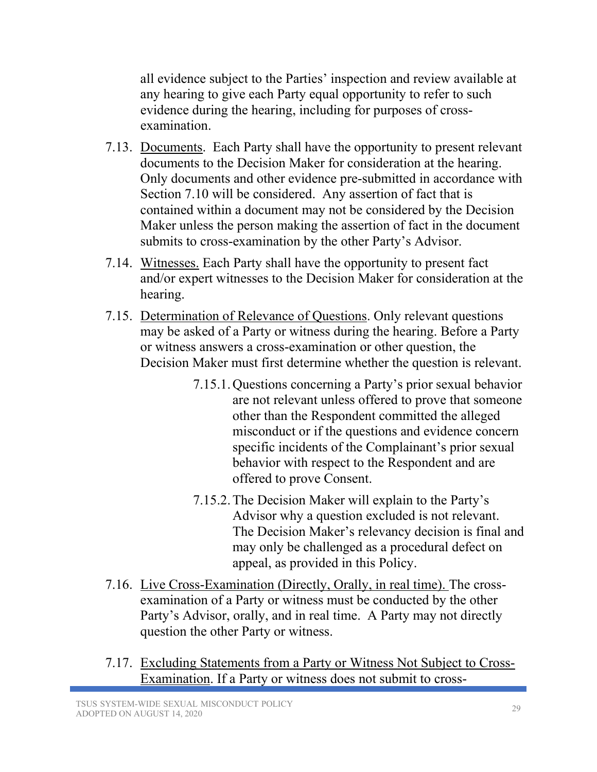all evidence subject to the Parties' inspection and review available at any hearing to give each Party equal opportunity to refer to such evidence during the hearing, including for purposes of crossexamination.

- 7.13. Documents. Each Party shall have the opportunity to present relevant documents to the Decision Maker for consideration at the hearing. Only documents and other evidence pre-submitted in accordance with Section 7.10 will be considered. Any assertion of fact that is contained within a document may not be considered by the Decision Maker unless the person making the assertion of fact in the document submits to cross-examination by the other Party's Advisor.
- 7.14. Witnesses. Each Party shall have the opportunity to present fact and/or expert witnesses to the Decision Maker for consideration at the hearing.
- 7.15. Determination of Relevance of Questions. Only relevant questions may be asked of a Party or witness during the hearing. Before a Party or witness answers a cross-examination or other question, the Decision Maker must first determine whether the question is relevant.
	- 7.15.1.Questions concerning a Party's prior sexual behavior are not relevant unless offered to prove that someone other than the Respondent committed the alleged misconduct or if the questions and evidence concern specific incidents of the Complainant's prior sexual behavior with respect to the Respondent and are offered to prove Consent.
	- 7.15.2.The Decision Maker will explain to the Party's Advisor why a question excluded is not relevant. The Decision Maker's relevancy decision is final and may only be challenged as a procedural defect on appeal, as provided in this Policy.
- 7.16. Live Cross-Examination (Directly, Orally, in real time). The crossexamination of a Party or witness must be conducted by the other Party's Advisor, orally, and in real time. A Party may not directly question the other Party or witness.
- 7.17. Excluding Statements from a Party or Witness Not Subject to Cross-Examination. If a Party or witness does not submit to cross-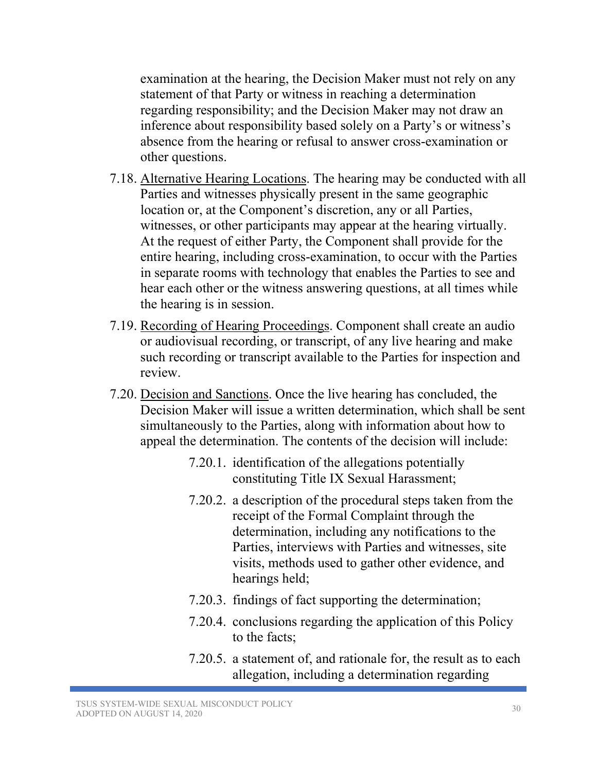examination at the hearing, the Decision Maker must not rely on any statement of that Party or witness in reaching a determination regarding responsibility; and the Decision Maker may not draw an inference about responsibility based solely on a Party's or witness's absence from the hearing or refusal to answer cross-examination or other questions.

- 7.18. Alternative Hearing Locations. The hearing may be conducted with all Parties and witnesses physically present in the same geographic location or, at the Component's discretion, any or all Parties, witnesses, or other participants may appear at the hearing virtually. At the request of either Party, the Component shall provide for the entire hearing, including cross-examination, to occur with the Parties in separate rooms with technology that enables the Parties to see and hear each other or the witness answering questions, at all times while the hearing is in session.
- 7.19. Recording of Hearing Proceedings. Component shall create an audio or audiovisual recording, or transcript, of any live hearing and make such recording or transcript available to the Parties for inspection and review.
- 7.20. Decision and Sanctions. Once the live hearing has concluded, the Decision Maker will issue a written determination, which shall be sent simultaneously to the Parties, along with information about how to appeal the determination. The contents of the decision will include:
	- 7.20.1. identification of the allegations potentially constituting Title IX Sexual Harassment;
	- 7.20.2. a description of the procedural steps taken from the receipt of the Formal Complaint through the determination, including any notifications to the Parties, interviews with Parties and witnesses, site visits, methods used to gather other evidence, and hearings held;
	- 7.20.3. findings of fact supporting the determination;
	- 7.20.4. conclusions regarding the application of this Policy to the facts;
	- 7.20.5. a statement of, and rationale for, the result as to each allegation, including a determination regarding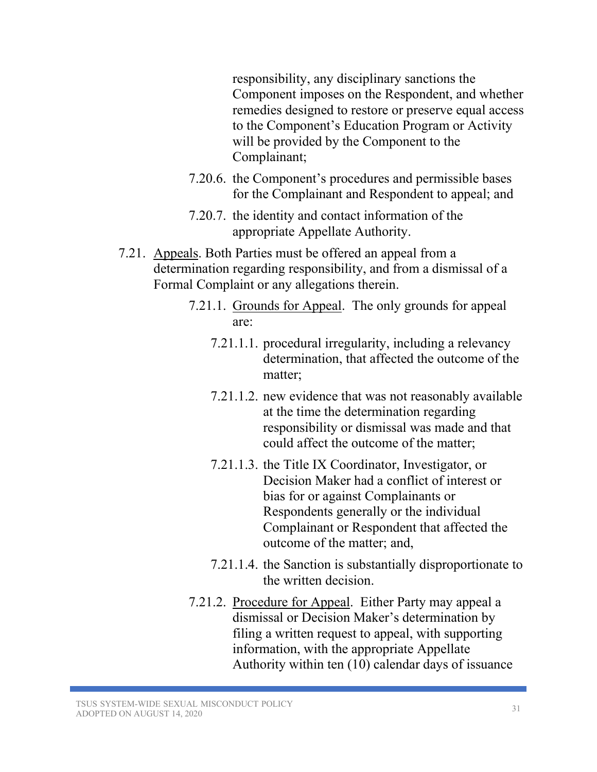responsibility, any disciplinary sanctions the Component imposes on the Respondent, and whether remedies designed to restore or preserve equal access to the Component's Education Program or Activity will be provided by the Component to the Complainant;

- 7.20.6. the Component's procedures and permissible bases for the Complainant and Respondent to appeal; and
- 7.20.7. the identity and contact information of the appropriate Appellate Authority.
- 7.21. Appeals. Both Parties must be offered an appeal from a determination regarding responsibility, and from a dismissal of a Formal Complaint or any allegations therein.
	- 7.21.1. Grounds for Appeal. The only grounds for appeal are:
		- 7.21.1.1. procedural irregularity, including a relevancy determination, that affected the outcome of the matter;
		- 7.21.1.2. new evidence that was not reasonably available at the time the determination regarding responsibility or dismissal was made and that could affect the outcome of the matter;
		- 7.21.1.3. the Title IX Coordinator, Investigator, or Decision Maker had a conflict of interest or bias for or against Complainants or Respondents generally or the individual Complainant or Respondent that affected the outcome of the matter; and,
		- 7.21.1.4. the Sanction is substantially disproportionate to the written decision.
	- 7.21.2. Procedure for Appeal. Either Party may appeal a dismissal or Decision Maker's determination by filing a written request to appeal, with supporting information, with the appropriate Appellate Authority within ten (10) calendar days of issuance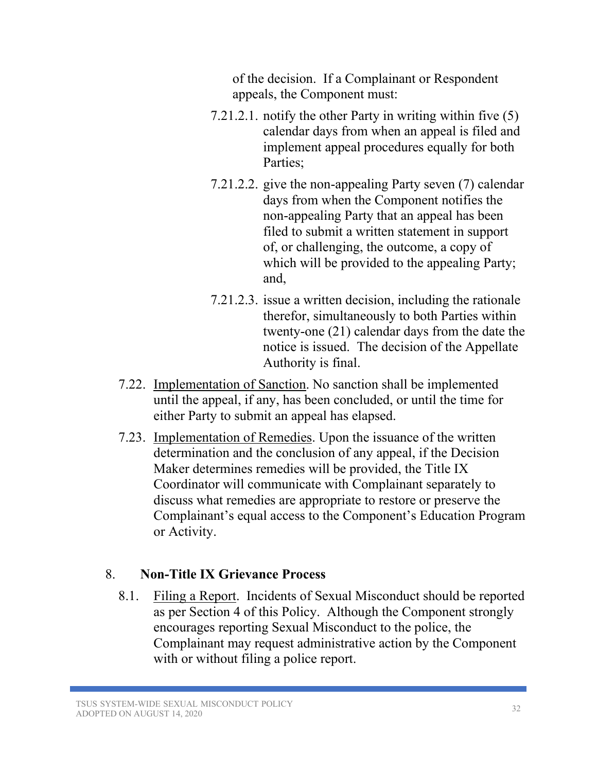of the decision. If a Complainant or Respondent appeals, the Component must:

- 7.21.2.1. notify the other Party in writing within five (5) calendar days from when an appeal is filed and implement appeal procedures equally for both Parties;
- 7.21.2.2. give the non-appealing Party seven (7) calendar days from when the Component notifies the non-appealing Party that an appeal has been filed to submit a written statement in support of, or challenging, the outcome, a copy of which will be provided to the appealing Party; and,
- 7.21.2.3. issue a written decision, including the rationale therefor, simultaneously to both Parties within twenty-one (21) calendar days from the date the notice is issued. The decision of the Appellate Authority is final.
- 7.22. Implementation of Sanction. No sanction shall be implemented until the appeal, if any, has been concluded, or until the time for either Party to submit an appeal has elapsed.
- 7.23. Implementation of Remedies. Upon the issuance of the written determination and the conclusion of any appeal, if the Decision Maker determines remedies will be provided, the Title IX Coordinator will communicate with Complainant separately to discuss what remedies are appropriate to restore or preserve the Complainant's equal access to the Component's Education Program or Activity.

# 8. **Non-Title IX Grievance Process**

8.1. Filing a Report. Incidents of Sexual Misconduct should be reported as per Section 4 of this Policy. Although the Component strongly encourages reporting Sexual Misconduct to the police, the Complainant may request administrative action by the Component with or without filing a police report.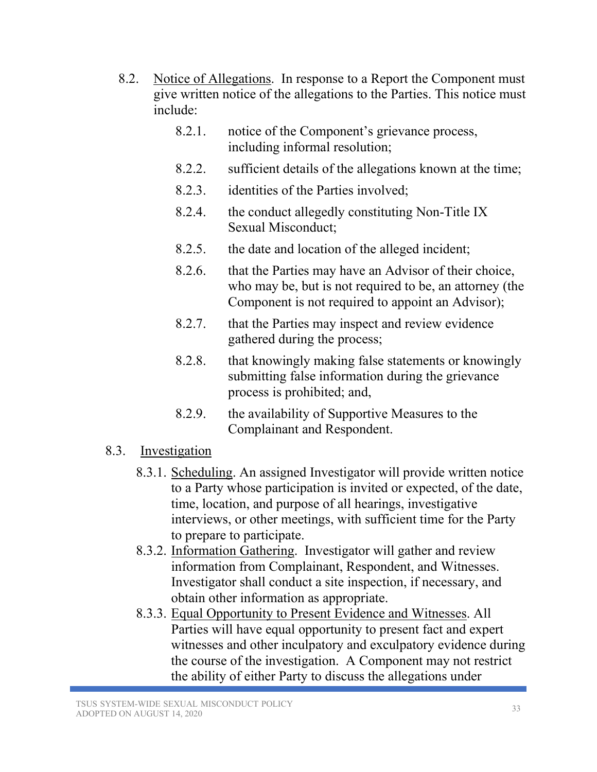- 8.2. Notice of Allegations. In response to a Report the Component must give written notice of the allegations to the Parties. This notice must include:
	- 8.2.1. notice of the Component's grievance process, including informal resolution;
	- 8.2.2. sufficient details of the allegations known at the time;
	- 8.2.3. identities of the Parties involved;
	- 8.2.4. the conduct allegedly constituting Non-Title IX Sexual Misconduct;
	- 8.2.5. the date and location of the alleged incident;
	- 8.2.6. that the Parties may have an Advisor of their choice, who may be, but is not required to be, an attorney (the Component is not required to appoint an Advisor);
	- 8.2.7. that the Parties may inspect and review evidence gathered during the process;
	- 8.2.8. that knowingly making false statements or knowingly submitting false information during the grievance process is prohibited; and,
	- 8.2.9. the availability of Supportive Measures to the Complainant and Respondent.

#### 8.3. Investigation

- 8.3.1. Scheduling. An assigned Investigator will provide written notice to a Party whose participation is invited or expected, of the date, time, location, and purpose of all hearings, investigative interviews, or other meetings, with sufficient time for the Party to prepare to participate.
- 8.3.2. Information Gathering. Investigator will gather and review information from Complainant, Respondent, and Witnesses. Investigator shall conduct a site inspection, if necessary, and obtain other information as appropriate.
- 8.3.3. Equal Opportunity to Present Evidence and Witnesses. All Parties will have equal opportunity to present fact and expert witnesses and other inculpatory and exculpatory evidence during the course of the investigation. A Component may not restrict the ability of either Party to discuss the allegations under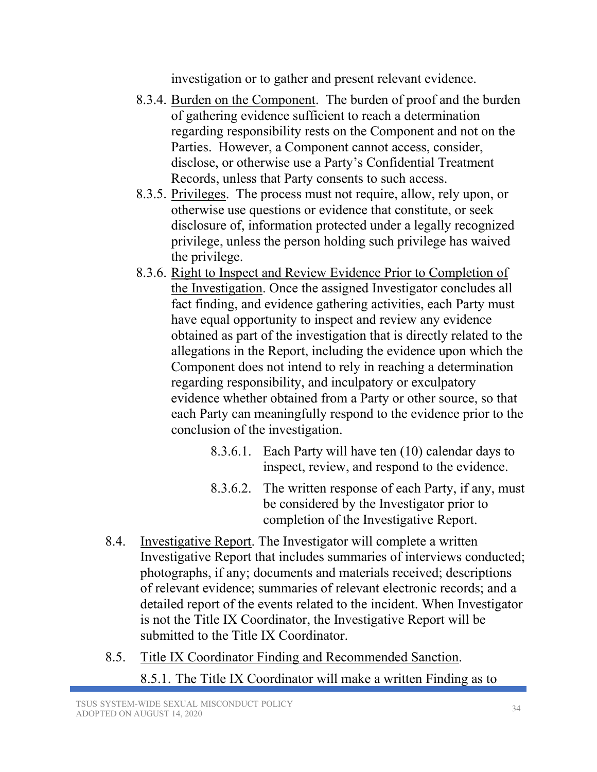investigation or to gather and present relevant evidence.

- 8.3.4. Burden on the Component. The burden of proof and the burden of gathering evidence sufficient to reach a determination regarding responsibility rests on the Component and not on the Parties. However, a Component cannot access, consider, disclose, or otherwise use a Party's Confidential Treatment Records, unless that Party consents to such access.
- 8.3.5. Privileges. The process must not require, allow, rely upon, or otherwise use questions or evidence that constitute, or seek disclosure of, information protected under a legally recognized privilege, unless the person holding such privilege has waived the privilege.
- 8.3.6. Right to Inspect and Review Evidence Prior to Completion of the Investigation. Once the assigned Investigator concludes all fact finding, and evidence gathering activities, each Party must have equal opportunity to inspect and review any evidence obtained as part of the investigation that is directly related to the allegations in the Report, including the evidence upon which the Component does not intend to rely in reaching a determination regarding responsibility, and inculpatory or exculpatory evidence whether obtained from a Party or other source, so that each Party can meaningfully respond to the evidence prior to the conclusion of the investigation.
	- 8.3.6.1. Each Party will have ten (10) calendar days to inspect, review, and respond to the evidence.
	- 8.3.6.2. The written response of each Party, if any, must be considered by the Investigator prior to completion of the Investigative Report.
- 8.4. Investigative Report. The Investigator will complete a written Investigative Report that includes summaries of interviews conducted; photographs, if any; documents and materials received; descriptions of relevant evidence; summaries of relevant electronic records; and a detailed report of the events related to the incident. When Investigator is not the Title IX Coordinator, the Investigative Report will be submitted to the Title IX Coordinator.
- 8.5. Title IX Coordinator Finding and Recommended Sanction.
	- 8.5.1. The Title IX Coordinator will make a written Finding as to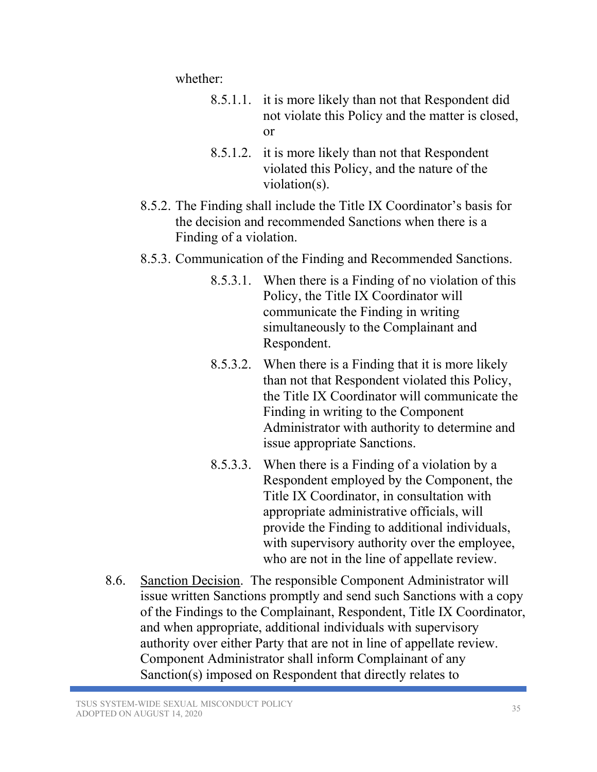whether:

- 8.5.1.1. it is more likely than not that Respondent did not violate this Policy and the matter is closed, or
- 8.5.1.2. it is more likely than not that Respondent violated this Policy, and the nature of the violation(s).
- 8.5.2. The Finding shall include the Title IX Coordinator's basis for the decision and recommended Sanctions when there is a Finding of a violation.
- 8.5.3. Communication of the Finding and Recommended Sanctions.
	- 8.5.3.1. When there is a Finding of no violation of this Policy, the Title IX Coordinator will communicate the Finding in writing simultaneously to the Complainant and Respondent.
	- 8.5.3.2. When there is a Finding that it is more likely than not that Respondent violated this Policy, the Title IX Coordinator will communicate the Finding in writing to the Component Administrator with authority to determine and issue appropriate Sanctions.
	- 8.5.3.3. When there is a Finding of a violation by a Respondent employed by the Component, the Title IX Coordinator, in consultation with appropriate administrative officials, will provide the Finding to additional individuals, with supervisory authority over the employee, who are not in the line of appellate review.
- 8.6. Sanction Decision. The responsible Component Administrator will issue written Sanctions promptly and send such Sanctions with a copy of the Findings to the Complainant, Respondent, Title IX Coordinator, and when appropriate, additional individuals with supervisory authority over either Party that are not in line of appellate review. Component Administrator shall inform Complainant of any Sanction(s) imposed on Respondent that directly relates to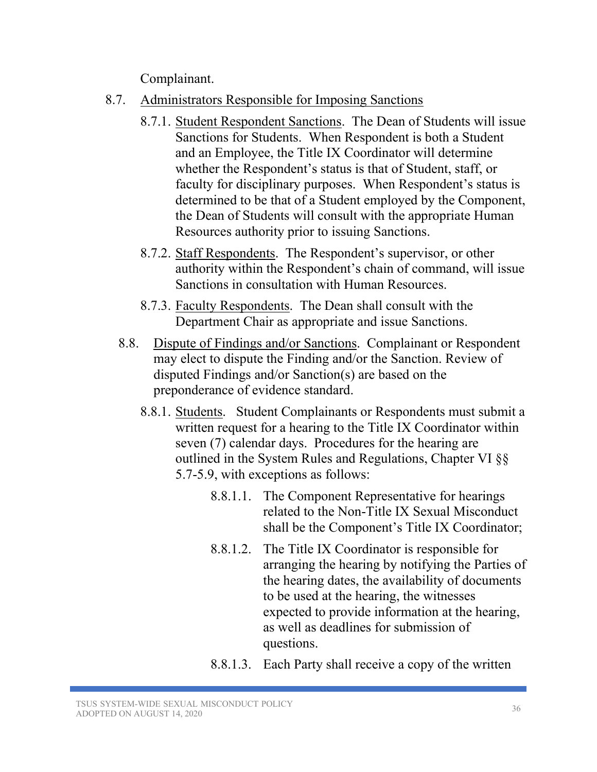Complainant.

- 8.7. Administrators Responsible for Imposing Sanctions
	- 8.7.1. Student Respondent Sanctions. The Dean of Students will issue Sanctions for Students. When Respondent is both a Student and an Employee, the Title IX Coordinator will determine whether the Respondent's status is that of Student, staff, or faculty for disciplinary purposes. When Respondent's status is determined to be that of a Student employed by the Component, the Dean of Students will consult with the appropriate Human Resources authority prior to issuing Sanctions.
	- 8.7.2. Staff Respondents. The Respondent's supervisor, or other authority within the Respondent's chain of command, will issue Sanctions in consultation with Human Resources.
	- 8.7.3. Faculty Respondents. The Dean shall consult with the Department Chair as appropriate and issue Sanctions.
	- 8.8. Dispute of Findings and/or Sanctions. Complainant or Respondent may elect to dispute the Finding and/or the Sanction. Review of disputed Findings and/or Sanction(s) are based on the preponderance of evidence standard.
		- 8.8.1. Students. Student Complainants or Respondents must submit a written request for a hearing to the Title IX Coordinator within seven (7) calendar days. Procedures for the hearing are outlined in the System Rules and Regulations, Chapter VI §§ 5.7-5.9, with exceptions as follows:
			- 8.8.1.1. The Component Representative for hearings related to the Non-Title IX Sexual Misconduct shall be the Component's Title IX Coordinator;
			- 8.8.1.2. The Title IX Coordinator is responsible for arranging the hearing by notifying the Parties of the hearing dates, the availability of documents to be used at the hearing, the witnesses expected to provide information at the hearing, as well as deadlines for submission of questions.
			- 8.8.1.3. Each Party shall receive a copy of the written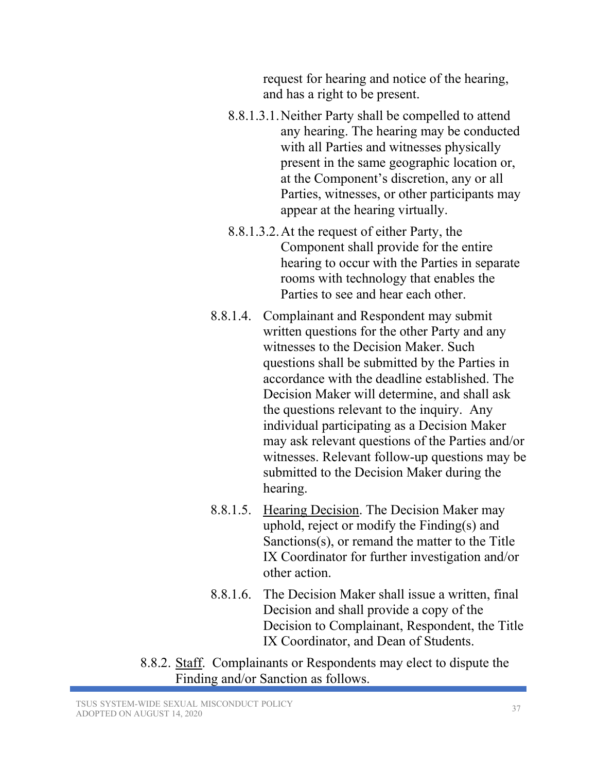request for hearing and notice of the hearing, and has a right to be present.

- 8.8.1.3.1.Neither Party shall be compelled to attend any hearing. The hearing may be conducted with all Parties and witnesses physically present in the same geographic location or, at the Component's discretion, any or all Parties, witnesses, or other participants may appear at the hearing virtually.
- 8.8.1.3.2.At the request of either Party, the Component shall provide for the entire hearing to occur with the Parties in separate rooms with technology that enables the Parties to see and hear each other.
- 8.8.1.4. Complainant and Respondent may submit written questions for the other Party and any witnesses to the Decision Maker. Such questions shall be submitted by the Parties in accordance with the deadline established. The Decision Maker will determine, and shall ask the questions relevant to the inquiry. Any individual participating as a Decision Maker may ask relevant questions of the Parties and/or witnesses. Relevant follow-up questions may be submitted to the Decision Maker during the hearing.
- 8.8.1.5. Hearing Decision. The Decision Maker may uphold, reject or modify the Finding(s) and Sanctions(s), or remand the matter to the Title IX Coordinator for further investigation and/or other action.
- 8.8.1.6. The Decision Maker shall issue a written, final Decision and shall provide a copy of the Decision to Complainant, Respondent, the Title IX Coordinator, and Dean of Students.
- 8.8.2. Staff. Complainants or Respondents may elect to dispute the Finding and/or Sanction as follows.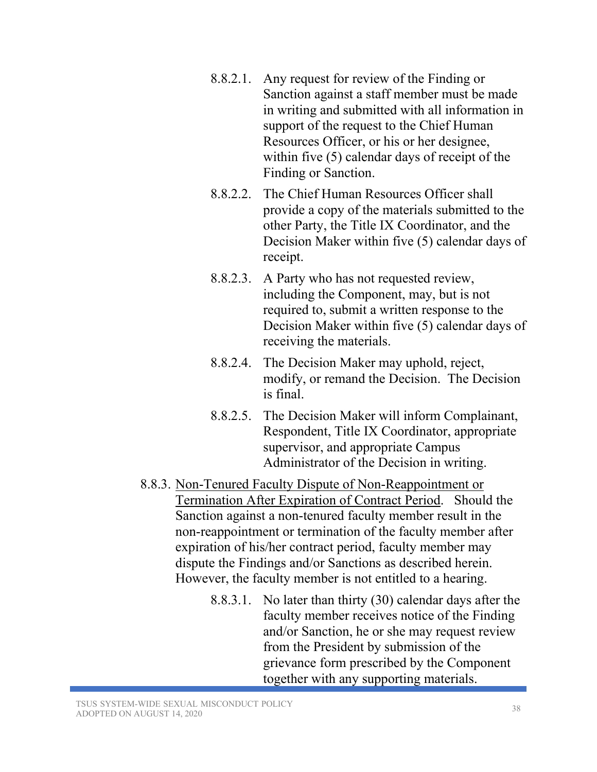- 8.8.2.1. Any request for review of the Finding or Sanction against a staff member must be made in writing and submitted with all information in support of the request to the Chief Human Resources Officer, or his or her designee, within five (5) calendar days of receipt of the Finding or Sanction.
- 8.8.2.2. The Chief Human Resources Officer shall provide a copy of the materials submitted to the other Party, the Title IX Coordinator, and the Decision Maker within five (5) calendar days of receipt.
- 8.8.2.3. A Party who has not requested review, including the Component, may, but is not required to, submit a written response to the Decision Maker within five (5) calendar days of receiving the materials.
- 8.8.2.4. The Decision Maker may uphold, reject, modify, or remand the Decision. The Decision is final.
- 8.8.2.5. The Decision Maker will inform Complainant, Respondent, Title IX Coordinator, appropriate supervisor, and appropriate Campus Administrator of the Decision in writing.
- 8.8.3. Non-Tenured Faculty Dispute of Non-Reappointment or Termination After Expiration of Contract Period. Should the Sanction against a non-tenured faculty member result in the non-reappointment or termination of the faculty member after expiration of his/her contract period, faculty member may dispute the Findings and/or Sanctions as described herein. However, the faculty member is not entitled to a hearing.
	- 8.8.3.1. No later than thirty (30) calendar days after the faculty member receives notice of the Finding and/or Sanction, he or she may request review from the President by submission of the grievance form prescribed by the Component together with any supporting materials.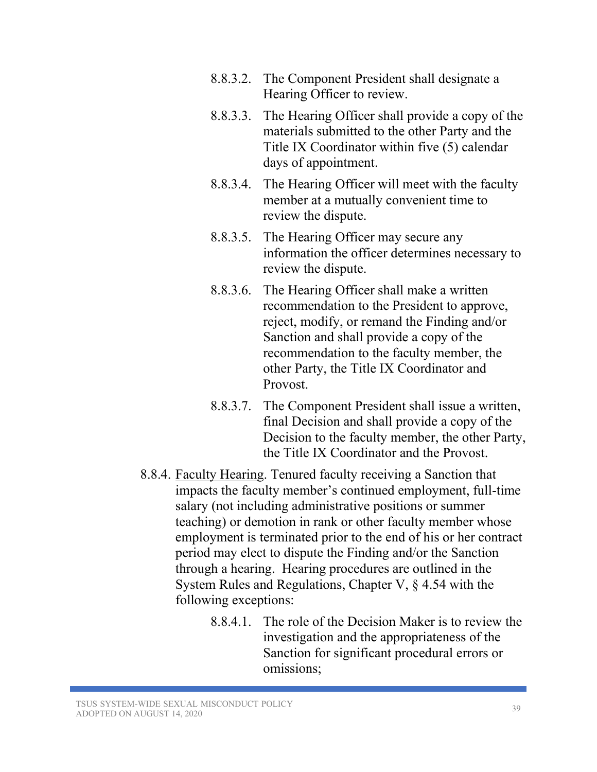- 8.8.3.2. The Component President shall designate a Hearing Officer to review.
- 8.8.3.3. The Hearing Officer shall provide a copy of the materials submitted to the other Party and the Title IX Coordinator within five (5) calendar days of appointment.
- 8.8.3.4. The Hearing Officer will meet with the faculty member at a mutually convenient time to review the dispute.
- 8.8.3.5. The Hearing Officer may secure any information the officer determines necessary to review the dispute.
- 8.8.3.6. The Hearing Officer shall make a written recommendation to the President to approve, reject, modify, or remand the Finding and/or Sanction and shall provide a copy of the recommendation to the faculty member, the other Party, the Title IX Coordinator and Provost.
- 8.8.3.7. The Component President shall issue a written, final Decision and shall provide a copy of the Decision to the faculty member, the other Party, the Title IX Coordinator and the Provost.
- 8.8.4. Faculty Hearing. Tenured faculty receiving a Sanction that impacts the faculty member's continued employment, full-time salary (not including administrative positions or summer teaching) or demotion in rank or other faculty member whose employment is terminated prior to the end of his or her contract period may elect to dispute the Finding and/or the Sanction through a hearing. Hearing procedures are outlined in the System Rules and Regulations, Chapter V, § 4.54 with the following exceptions:
	- 8.8.4.1. The role of the Decision Maker is to review the investigation and the appropriateness of the Sanction for significant procedural errors or omissions;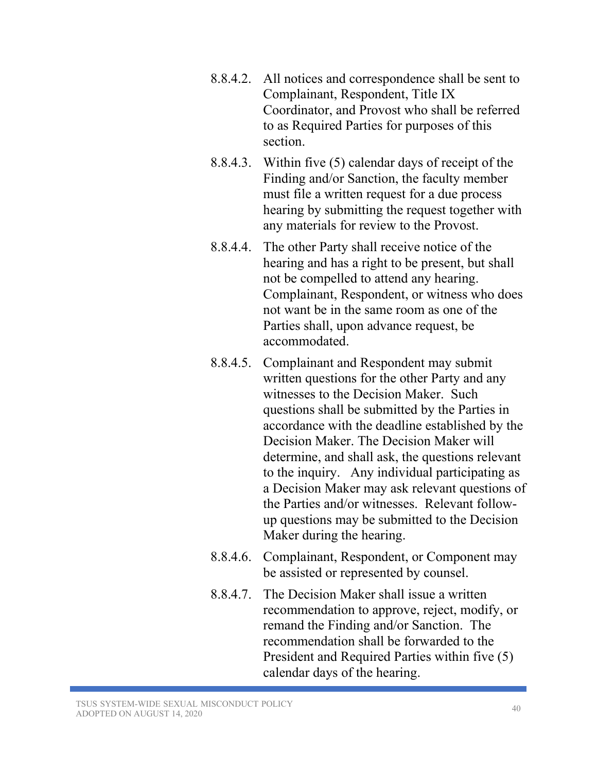- 8.8.4.2. All notices and correspondence shall be sent to Complainant, Respondent, Title IX Coordinator, and Provost who shall be referred to as Required Parties for purposes of this section.
- 8.8.4.3. Within five (5) calendar days of receipt of the Finding and/or Sanction, the faculty member must file a written request for a due process hearing by submitting the request together with any materials for review to the Provost.
- 8.8.4.4. The other Party shall receive notice of the hearing and has a right to be present, but shall not be compelled to attend any hearing. Complainant, Respondent, or witness who does not want be in the same room as one of the Parties shall, upon advance request, be accommodated.
- 8.8.4.5. Complainant and Respondent may submit written questions for the other Party and any witnesses to the Decision Maker. Such questions shall be submitted by the Parties in accordance with the deadline established by the Decision Maker. The Decision Maker will determine, and shall ask, the questions relevant to the inquiry. Any individual participating as a Decision Maker may ask relevant questions of the Parties and/or witnesses. Relevant followup questions may be submitted to the Decision Maker during the hearing.
- 8.8.4.6. Complainant, Respondent, or Component may be assisted or represented by counsel.
- 8.8.4.7. The Decision Maker shall issue a written recommendation to approve, reject, modify, or remand the Finding and/or Sanction. The recommendation shall be forwarded to the President and Required Parties within five (5) calendar days of the hearing.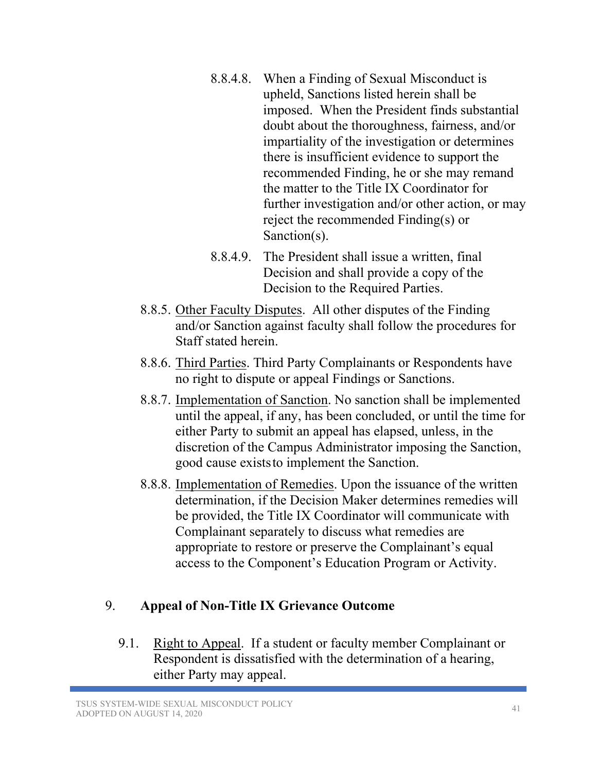- 8.8.4.8. When a Finding of Sexual Misconduct is upheld, Sanctions listed herein shall be imposed. When the President finds substantial doubt about the thoroughness, fairness, and/or impartiality of the investigation or determines there is insufficient evidence to support the recommended Finding, he or she may remand the matter to the Title IX Coordinator for further investigation and/or other action, or may reject the recommended Finding(s) or Sanction(s).
- 8.8.4.9. The President shall issue a written, final Decision and shall provide a copy of the Decision to the Required Parties.
- 8.8.5. Other Faculty Disputes. All other disputes of the Finding and/or Sanction against faculty shall follow the procedures for Staff stated herein.
- 8.8.6. Third Parties. Third Party Complainants or Respondents have no right to dispute or appeal Findings or Sanctions.
- 8.8.7. Implementation of Sanction. No sanction shall be implemented until the appeal, if any, has been concluded, or until the time for either Party to submit an appeal has elapsed, unless, in the discretion of the Campus Administrator imposing the Sanction, good cause existsto implement the Sanction.
- 8.8.8. Implementation of Remedies. Upon the issuance of the written determination, if the Decision Maker determines remedies will be provided, the Title IX Coordinator will communicate with Complainant separately to discuss what remedies are appropriate to restore or preserve the Complainant's equal access to the Component's Education Program or Activity.

# 9. **Appeal of Non-Title IX Grievance Outcome**

9.1. Right to Appeal. If a student or faculty member Complainant or Respondent is dissatisfied with the determination of a hearing, either Party may appeal.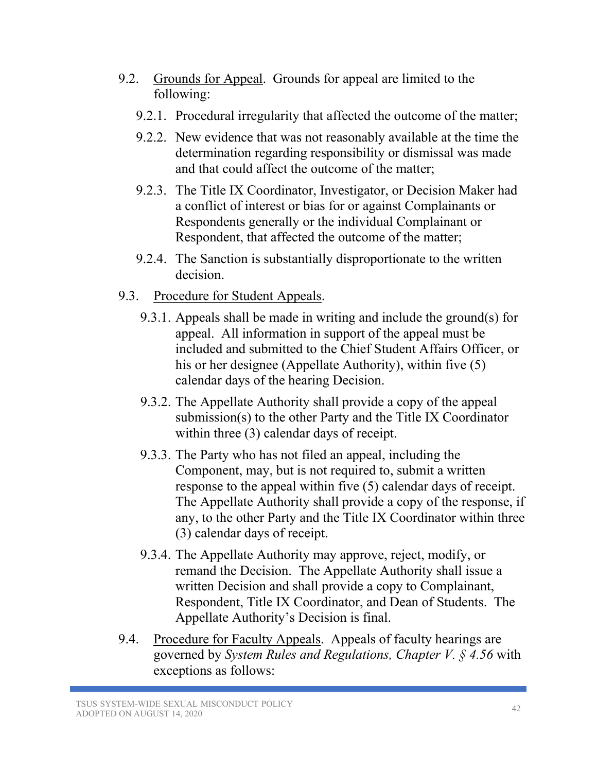- 9.2. Grounds for Appeal. Grounds for appeal are limited to the following:
	- 9.2.1. Procedural irregularity that affected the outcome of the matter;
	- 9.2.2. New evidence that was not reasonably available at the time the determination regarding responsibility or dismissal was made and that could affect the outcome of the matter;
	- 9.2.3. The Title IX Coordinator, Investigator, or Decision Maker had a conflict of interest or bias for or against Complainants or Respondents generally or the individual Complainant or Respondent, that affected the outcome of the matter;
	- 9.2.4. The Sanction is substantially disproportionate to the written decision.
- 9.3. Procedure for Student Appeals.
	- 9.3.1. Appeals shall be made in writing and include the ground(s) for appeal. All information in support of the appeal must be included and submitted to the Chief Student Affairs Officer, or his or her designee (Appellate Authority), within five (5) calendar days of the hearing Decision.
	- 9.3.2. The Appellate Authority shall provide a copy of the appeal submission(s) to the other Party and the Title IX Coordinator within three (3) calendar days of receipt.
	- 9.3.3. The Party who has not filed an appeal, including the Component, may, but is not required to, submit a written response to the appeal within five (5) calendar days of receipt. The Appellate Authority shall provide a copy of the response, if any, to the other Party and the Title IX Coordinator within three (3) calendar days of receipt.
	- 9.3.4. The Appellate Authority may approve, reject, modify, or remand the Decision. The Appellate Authority shall issue a written Decision and shall provide a copy to Complainant, Respondent, Title IX Coordinator, and Dean of Students. The Appellate Authority's Decision is final.
- 9.4. Procedure for Faculty Appeals. Appeals of faculty hearings are governed by *System Rules and Regulations, Chapter V. § 4.56* with exceptions as follows: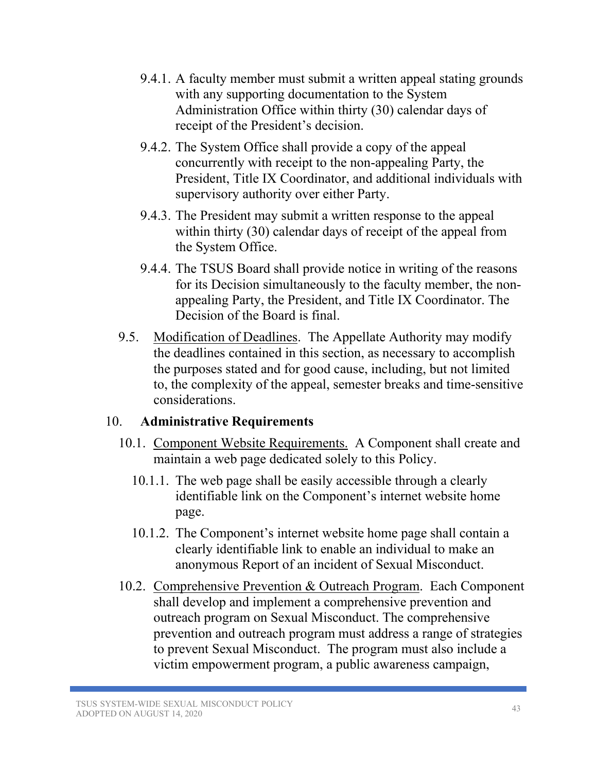- 9.4.1. A faculty member must submit a written appeal stating grounds with any supporting documentation to the System Administration Office within thirty (30) calendar days of receipt of the President's decision.
- 9.4.2. The System Office shall provide a copy of the appeal concurrently with receipt to the non-appealing Party, the President, Title IX Coordinator, and additional individuals with supervisory authority over either Party.
- 9.4.3. The President may submit a written response to the appeal within thirty (30) calendar days of receipt of the appeal from the System Office.
- 9.4.4. The TSUS Board shall provide notice in writing of the reasons for its Decision simultaneously to the faculty member, the nonappealing Party, the President, and Title IX Coordinator. The Decision of the Board is final.
- 9.5. Modification of Deadlines. The Appellate Authority may modify the deadlines contained in this section, as necessary to accomplish the purposes stated and for good cause, including, but not limited to, the complexity of the appeal, semester breaks and time-sensitive considerations.

#### 10. **Administrative Requirements**

- 10.1. Component Website Requirements. A Component shall create and maintain a web page dedicated solely to this Policy.
	- 10.1.1. The web page shall be easily accessible through a clearly identifiable link on the Component's internet website home page.
	- 10.1.2. The Component's internet website home page shall contain a clearly identifiable link to enable an individual to make an anonymous Report of an incident of Sexual Misconduct.
- 10.2. Comprehensive Prevention & Outreach Program. Each Component shall develop and implement a comprehensive prevention and outreach program on Sexual Misconduct. The comprehensive prevention and outreach program must address a range of strategies to prevent Sexual Misconduct. The program must also include a victim empowerment program, a public awareness campaign,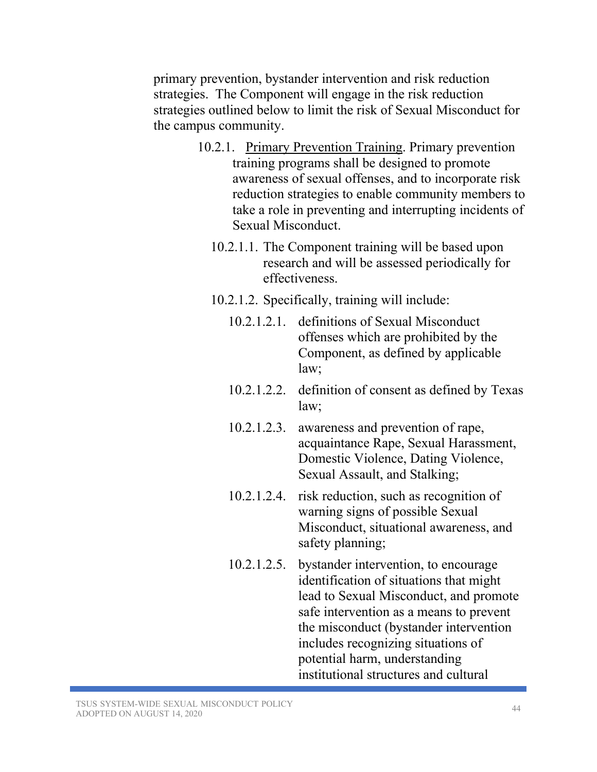primary prevention, bystander intervention and risk reduction strategies. The Component will engage in the risk reduction strategies outlined below to limit the risk of Sexual Misconduct for the campus community.

- 10.2.1. Primary Prevention Training. Primary prevention training programs shall be designed to promote awareness of sexual offenses, and to incorporate risk reduction strategies to enable community members to take a role in preventing and interrupting incidents of Sexual Misconduct.
	- 10.2.1.1. The Component training will be based upon research and will be assessed periodically for effectiveness.
	- 10.2.1.2. Specifically, training will include:
		- 10.2.1.2.1. definitions of Sexual Misconduct offenses which are prohibited by the Component, as defined by applicable law;
		- 10.2.1.2.2. definition of consent as defined by Texas law;
		- 10.2.1.2.3. awareness and prevention of rape, acquaintance Rape, Sexual Harassment, Domestic Violence, Dating Violence, Sexual Assault, and Stalking;
		- 10.2.1.2.4. risk reduction, such as recognition of warning signs of possible Sexual Misconduct, situational awareness, and safety planning;
		- 10.2.1.2.5. bystander intervention, to encourage identification of situations that might lead to Sexual Misconduct, and promote safe intervention as a means to prevent the misconduct (bystander intervention includes recognizing situations of potential harm, understanding institutional structures and cultural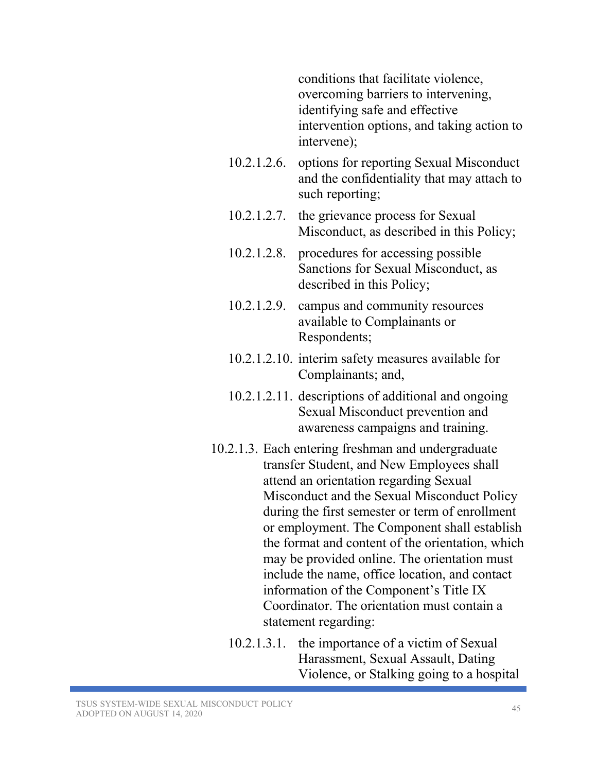conditions that facilitate violence, overcoming barriers to intervening, identifying safe and effective intervention options, and taking action to intervene);

- 10.2.1.2.6. options for reporting Sexual Misconduct and the confidentiality that may attach to such reporting;
- 10.2.1.2.7. the grievance process for Sexual Misconduct, as described in this Policy;
- 10.2.1.2.8. procedures for accessing possible Sanctions for Sexual Misconduct, as described in this Policy;
- 10.2.1.2.9. campus and community resources available to Complainants or Respondents;
- 10.2.1.2.10. interim safety measures available for Complainants; and,
- 10.2.1.2.11. descriptions of additional and ongoing Sexual Misconduct prevention and awareness campaigns and training.
- 10.2.1.3. Each entering freshman and undergraduate transfer Student, and New Employees shall attend an orientation regarding Sexual Misconduct and the Sexual Misconduct Policy during the first semester or term of enrollment or employment. The Component shall establish the format and content of the orientation, which may be provided online. The orientation must include the name, office location, and contact information of the Component's Title IX Coordinator. The orientation must contain a statement regarding:
	- 10.2.1.3.1. the importance of a victim of Sexual Harassment, Sexual Assault, Dating Violence, or Stalking going to a hospital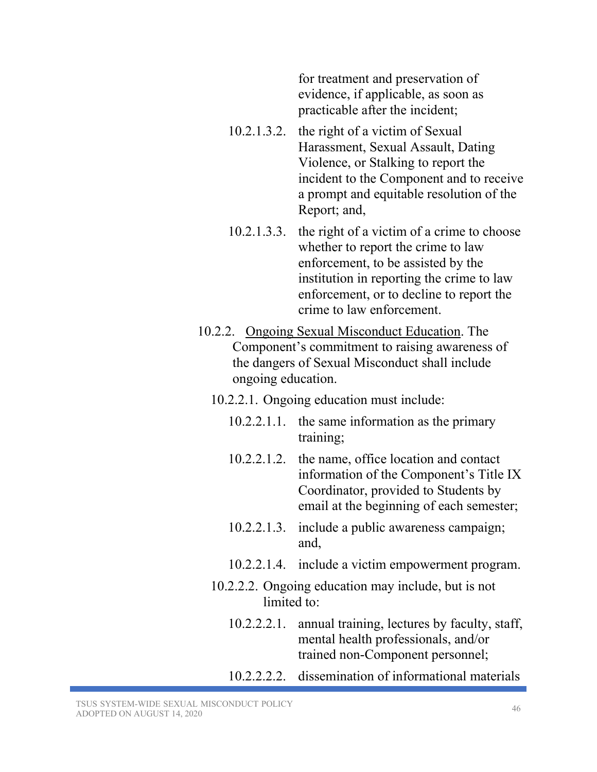for treatment and preservation of evidence, if applicable, as soon as practicable after the incident;

- 10.2.1.3.2. the right of a victim of Sexual Harassment, Sexual Assault, Dating Violence, or Stalking to report the incident to the Component and to receive a prompt and equitable resolution of the Report; and,
- 10.2.1.3.3. the right of a victim of a crime to choose whether to report the crime to law enforcement, to be assisted by the institution in reporting the crime to law enforcement, or to decline to report the crime to law enforcement.
- 10.2.2. Ongoing Sexual Misconduct Education. The Component's commitment to raising awareness of the dangers of Sexual Misconduct shall include ongoing education.
	- 10.2.2.1. Ongoing education must include:
		- 10.2.2.1.1. the same information as the primary training;
		- 10.2.2.1.2. the name, office location and contact information of the Component's Title IX Coordinator, provided to Students by email at the beginning of each semester;
		- 10.2.2.1.3. include a public awareness campaign; and,
		- 10.2.2.1.4. include a victim empowerment program.
	- 10.2.2.2. Ongoing education may include, but is not limited to:
		- 10.2.2.2.1. annual training, lectures by faculty, staff, mental health professionals, and/or trained non-Component personnel;
		- 10.2.2.2.2. dissemination of informational materials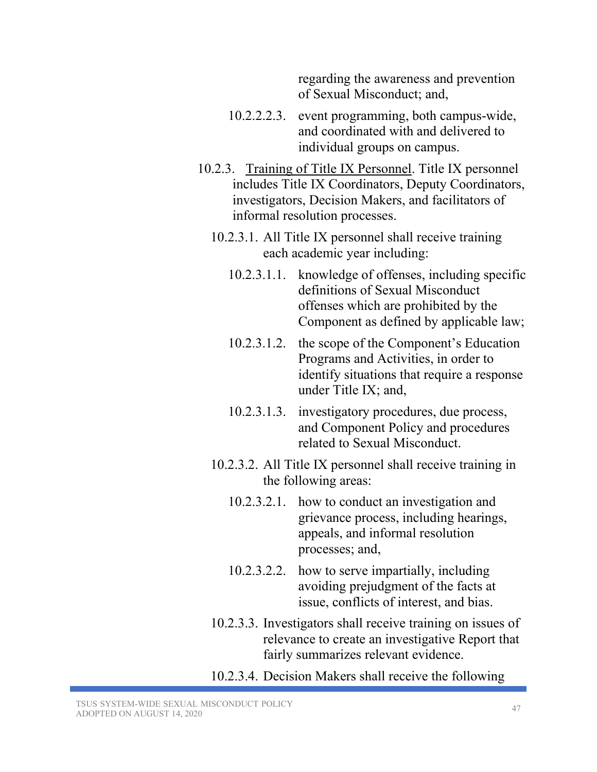regarding the awareness and prevention of Sexual Misconduct; and,

- 10.2.2.2.3. event programming, both campus-wide, and coordinated with and delivered to individual groups on campus.
- 10.2.3. Training of Title IX Personnel. Title IX personnel includes Title IX Coordinators, Deputy Coordinators, investigators, Decision Makers, and facilitators of informal resolution processes.
	- 10.2.3.1. All Title IX personnel shall receive training each academic year including:
		- 10.2.3.1.1. knowledge of offenses, including specific definitions of Sexual Misconduct offenses which are prohibited by the Component as defined by applicable law;
		- 10.2.3.1.2. the scope of the Component's Education Programs and Activities, in order to identify situations that require a response under Title IX; and,
		- 10.2.3.1.3. investigatory procedures, due process, and Component Policy and procedures related to Sexual Misconduct.
	- 10.2.3.2. All Title IX personnel shall receive training in the following areas:
		- 10.2.3.2.1. how to conduct an investigation and grievance process, including hearings, appeals, and informal resolution processes; and,
		- 10.2.3.2.2. how to serve impartially, including avoiding prejudgment of the facts at issue, conflicts of interest, and bias.
	- 10.2.3.3. Investigators shall receive training on issues of relevance to create an investigative Report that fairly summarizes relevant evidence.
	- 10.2.3.4. Decision Makers shall receive the following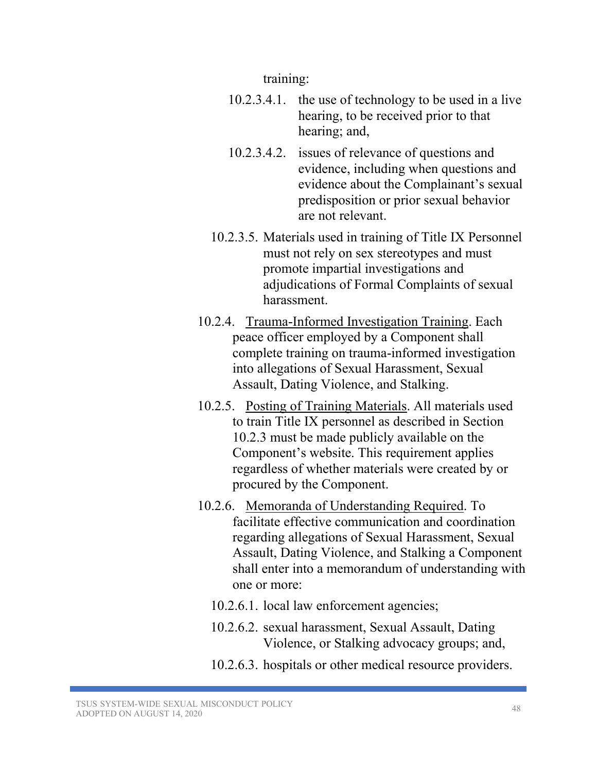training:

- 10.2.3.4.1. the use of technology to be used in a live hearing, to be received prior to that hearing; and,
- 10.2.3.4.2. issues of relevance of questions and evidence, including when questions and evidence about the Complainant's sexual predisposition or prior sexual behavior are not relevant.
- 10.2.3.5. Materials used in training of Title IX Personnel must not rely on sex stereotypes and must promote impartial investigations and adjudications of Formal Complaints of sexual harassment.
- 10.2.4. Trauma-Informed Investigation Training. Each peace officer employed by a Component shall complete training on trauma-informed investigation into allegations of Sexual Harassment, Sexual Assault, Dating Violence, and Stalking.
- 10.2.5. Posting of Training Materials. All materials used to train Title IX personnel as described in Section 10.2.3 must be made publicly available on the Component's website. This requirement applies regardless of whether materials were created by or procured by the Component.
- 10.2.6. Memoranda of Understanding Required. To facilitate effective communication and coordination regarding allegations of Sexual Harassment, Sexual Assault, Dating Violence, and Stalking a Component shall enter into a memorandum of understanding with one or more:
	- 10.2.6.1. local law enforcement agencies;
	- 10.2.6.2. sexual harassment, Sexual Assault, Dating Violence, or Stalking advocacy groups; and,
	- 10.2.6.3. hospitals or other medical resource providers.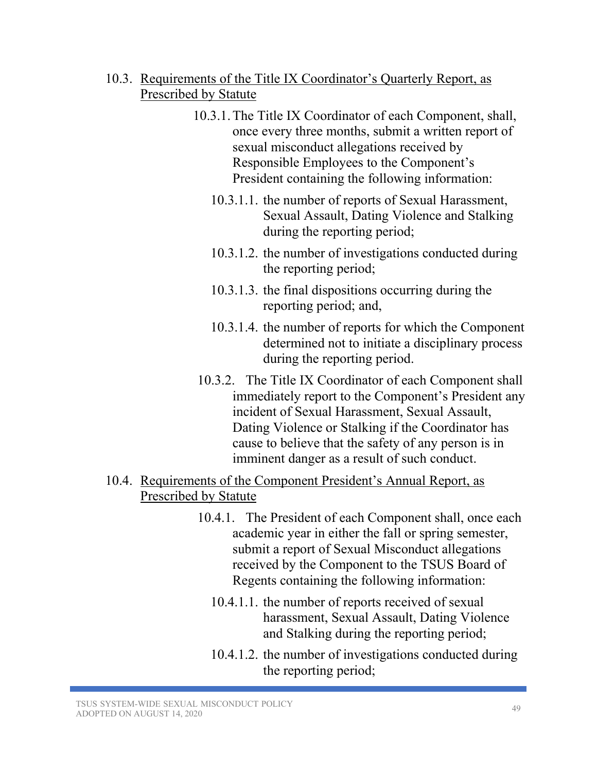#### 10.3. Requirements of the Title IX Coordinator's Quarterly Report, as Prescribed by Statute

- 10.3.1.The Title IX Coordinator of each Component, shall, once every three months, submit a written report of sexual misconduct allegations received by Responsible Employees to the Component's President containing the following information:
	- 10.3.1.1. the number of reports of Sexual Harassment, Sexual Assault, Dating Violence and Stalking during the reporting period;
	- 10.3.1.2. the number of investigations conducted during the reporting period;
	- 10.3.1.3. the final dispositions occurring during the reporting period; and,
	- 10.3.1.4. the number of reports for which the Component determined not to initiate a disciplinary process during the reporting period.
- 10.3.2. The Title IX Coordinator of each Component shall immediately report to the Component's President any incident of Sexual Harassment, Sexual Assault, Dating Violence or Stalking if the Coordinator has cause to believe that the safety of any person is in imminent danger as a result of such conduct.

# 10.4. Requirements of the Component President's Annual Report, as Prescribed by Statute

- 10.4.1. The President of each Component shall, once each academic year in either the fall or spring semester, submit a report of Sexual Misconduct allegations received by the Component to the TSUS Board of Regents containing the following information:
	- 10.4.1.1. the number of reports received of sexual harassment, Sexual Assault, Dating Violence and Stalking during the reporting period;
	- 10.4.1.2. the number of investigations conducted during the reporting period;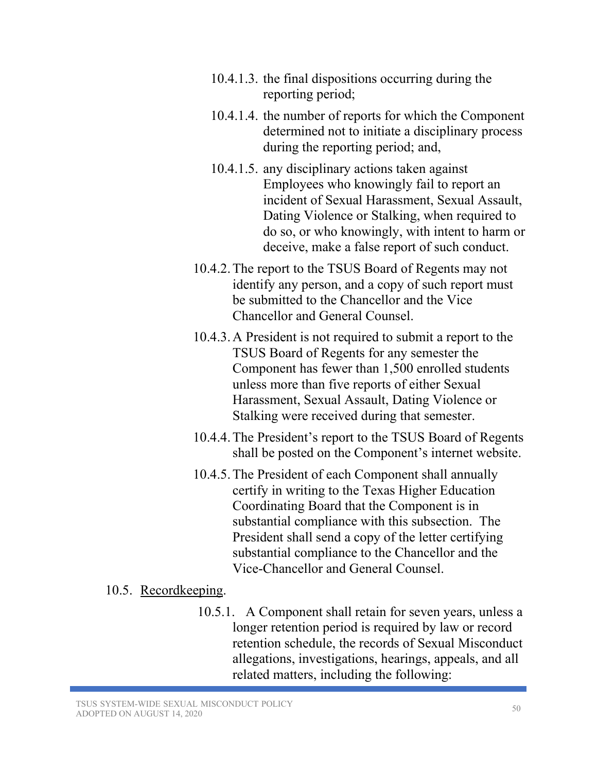- 10.4.1.3. the final dispositions occurring during the reporting period;
- 10.4.1.4. the number of reports for which the Component determined not to initiate a disciplinary process during the reporting period; and,
- 10.4.1.5. any disciplinary actions taken against Employees who knowingly fail to report an incident of Sexual Harassment, Sexual Assault, Dating Violence or Stalking, when required to do so, or who knowingly, with intent to harm or deceive, make a false report of such conduct.
- 10.4.2.The report to the TSUS Board of Regents may not identify any person, and a copy of such report must be submitted to the Chancellor and the Vice Chancellor and General Counsel.
- 10.4.3.A President is not required to submit a report to the TSUS Board of Regents for any semester the Component has fewer than 1,500 enrolled students unless more than five reports of either Sexual Harassment, Sexual Assault, Dating Violence or Stalking were received during that semester.
- 10.4.4.The President's report to the TSUS Board of Regents shall be posted on the Component's internet website.
- 10.4.5.The President of each Component shall annually certify in writing to the Texas Higher Education Coordinating Board that the Component is in substantial compliance with this subsection. The President shall send a copy of the letter certifying substantial compliance to the Chancellor and the Vice-Chancellor and General Counsel.

#### 10.5. Recordkeeping.

10.5.1. A Component shall retain for seven years, unless a longer retention period is required by law or record retention schedule, the records of Sexual Misconduct allegations, investigations, hearings, appeals, and all related matters, including the following: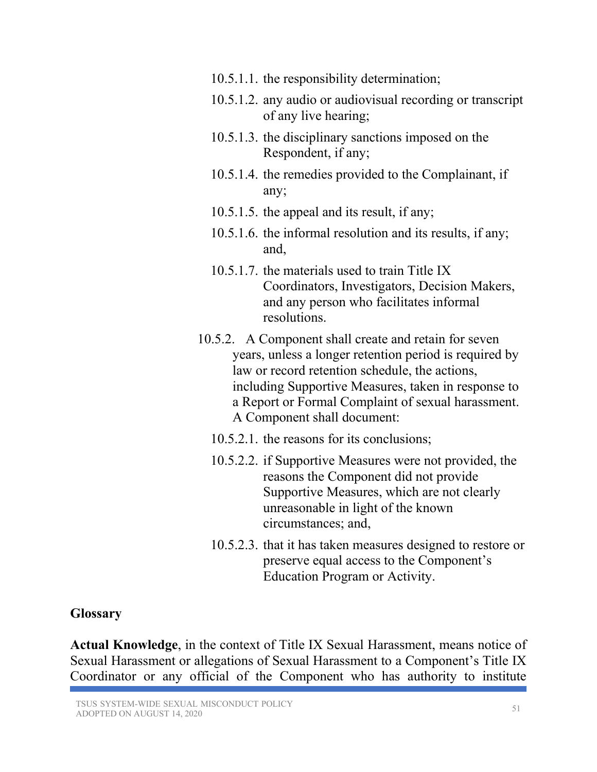- 10.5.1.1. the responsibility determination;
- 10.5.1.2. any audio or audiovisual recording or transcript of any live hearing;
- 10.5.1.3. the disciplinary sanctions imposed on the Respondent, if any;
- 10.5.1.4. the remedies provided to the Complainant, if any;
- 10.5.1.5. the appeal and its result, if any;
- 10.5.1.6. the informal resolution and its results, if any; and,
- 10.5.1.7. the materials used to train Title IX Coordinators, Investigators, Decision Makers, and any person who facilitates informal resolutions.
- 10.5.2. A Component shall create and retain for seven years, unless a longer retention period is required by law or record retention schedule, the actions, including Supportive Measures, taken in response to a Report or Formal Complaint of sexual harassment. A Component shall document:
	- 10.5.2.1. the reasons for its conclusions;
	- 10.5.2.2. if Supportive Measures were not provided, the reasons the Component did not provide Supportive Measures, which are not clearly unreasonable in light of the known circumstances; and,
	- 10.5.2.3. that it has taken measures designed to restore or preserve equal access to the Component's Education Program or Activity.

#### **Glossary**

**Actual Knowledge**, in the context of Title IX Sexual Harassment, means notice of Sexual Harassment or allegations of Sexual Harassment to a Component's Title IX Coordinator or any official of the Component who has authority to institute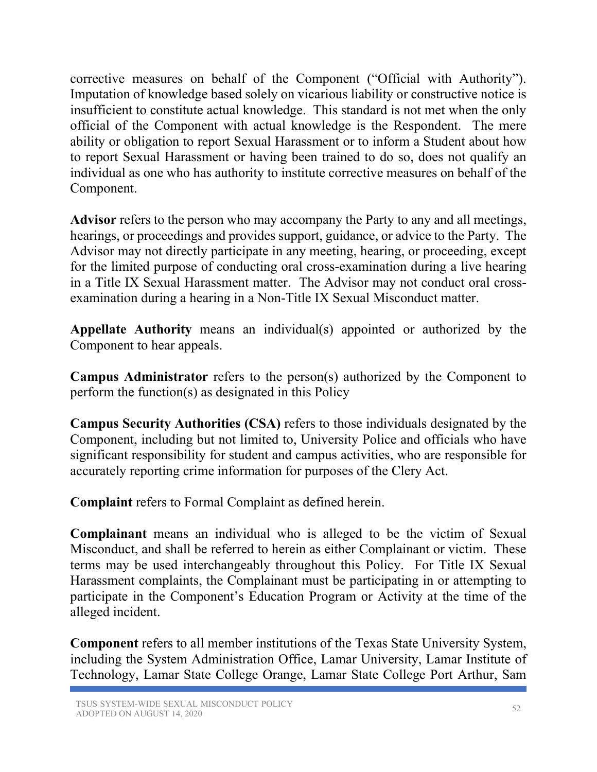corrective measures on behalf of the Component ("Official with Authority"). Imputation of knowledge based solely on vicarious liability or constructive notice is insufficient to constitute actual knowledge. This standard is not met when the only official of the Component with actual knowledge is the Respondent. The mere ability or obligation to report Sexual Harassment or to inform a Student about how to report Sexual Harassment or having been trained to do so, does not qualify an individual as one who has authority to institute corrective measures on behalf of the Component.

**Advisor** refers to the person who may accompany the Party to any and all meetings, hearings, or proceedings and provides support, guidance, or advice to the Party. The Advisor may not directly participate in any meeting, hearing, or proceeding, except for the limited purpose of conducting oral cross-examination during a live hearing in a Title IX Sexual Harassment matter. The Advisor may not conduct oral crossexamination during a hearing in a Non-Title IX Sexual Misconduct matter.

**Appellate Authority** means an individual(s) appointed or authorized by the Component to hear appeals.

**Campus Administrator** refers to the person(s) authorized by the Component to perform the function(s) as designated in this Policy

**Campus Security Authorities (CSA)** refers to those individuals designated by the Component, including but not limited to, University Police and officials who have significant responsibility for student and campus activities, who are responsible for accurately reporting crime information for purposes of the Clery Act.

**Complaint** refers to Formal Complaint as defined herein.

**Complainant** means an individual who is alleged to be the victim of Sexual Misconduct, and shall be referred to herein as either Complainant or victim. These terms may be used interchangeably throughout this Policy. For Title IX Sexual Harassment complaints, the Complainant must be participating in or attempting to participate in the Component's Education Program or Activity at the time of the alleged incident.

**Component** refers to all member institutions of the Texas State University System, including the System Administration Office, Lamar University, Lamar Institute of Technology, Lamar State College Orange, Lamar State College Port Arthur, Sam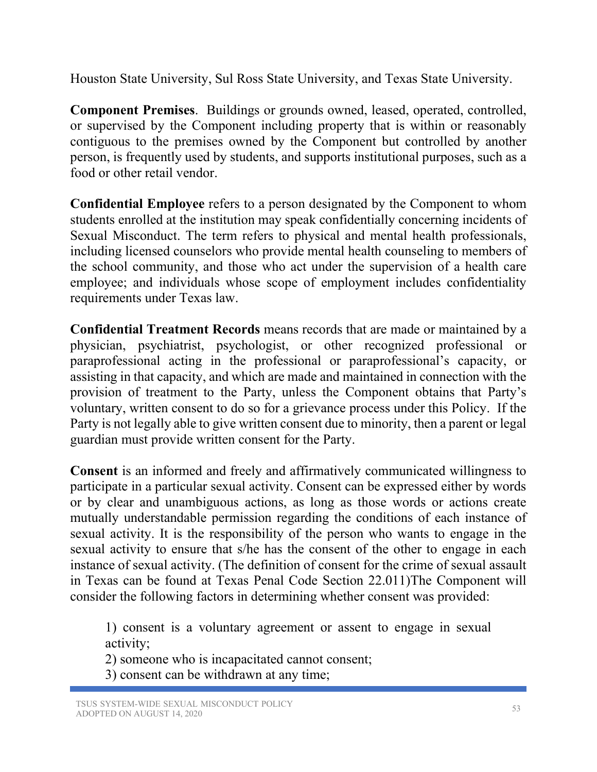Houston State University, Sul Ross State University, and Texas State University.

**Component Premises**. Buildings or grounds owned, leased, operated, controlled, or supervised by the Component including property that is within or reasonably contiguous to the premises owned by the Component but controlled by another person, is frequently used by students, and supports institutional purposes, such as a food or other retail vendor.

**Confidential Employee** refers to a person designated by the Component to whom students enrolled at the institution may speak confidentially concerning incidents of Sexual Misconduct. The term refers to physical and mental health professionals, including licensed counselors who provide mental health counseling to members of the school community, and those who act under the supervision of a health care employee; and individuals whose scope of employment includes confidentiality requirements under Texas law.

**Confidential Treatment Records** means records that are made or maintained by a physician, psychiatrist, psychologist, or other recognized professional or paraprofessional acting in the professional or paraprofessional's capacity, or assisting in that capacity, and which are made and maintained in connection with the provision of treatment to the Party, unless the Component obtains that Party's voluntary, written consent to do so for a grievance process under this Policy. If the Party is not legally able to give written consent due to minority, then a parent or legal guardian must provide written consent for the Party.

**Consent** is an informed and freely and affirmatively communicated willingness to participate in a particular sexual activity. Consent can be expressed either by words or by clear and unambiguous actions, as long as those words or actions create mutually understandable permission regarding the conditions of each instance of sexual activity. It is the responsibility of the person who wants to engage in the sexual activity to ensure that s/he has the consent of the other to engage in each instance of sexual activity. (The definition of consent for the crime of sexual assault in Texas can be found at Texas Penal Code Section 22.011)The Component will consider the following factors in determining whether consent was provided:

1) consent is a voluntary agreement or assent to engage in sexual activity;

2) someone who is incapacitated cannot consent;

3) consent can be withdrawn at any time;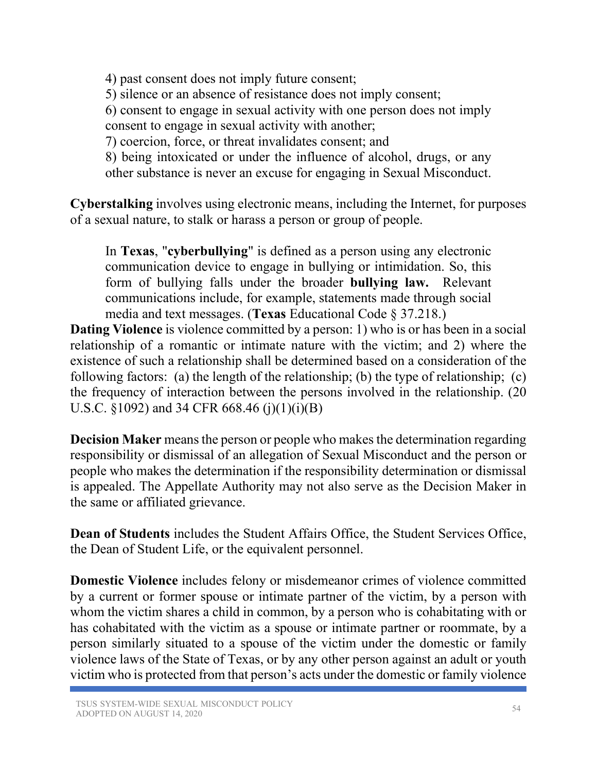4) past consent does not imply future consent; 5) silence or an absence of resistance does not imply consent; 6) consent to engage in sexual activity with one person does not imply consent to engage in sexual activity with another; 7) coercion, force, or threat invalidates consent; and 8) being intoxicated or under the influence of alcohol, drugs, or any other substance is never an excuse for engaging in Sexual Misconduct.

**Cyberstalking** involves using electronic means, including the Internet, for purposes of a sexual nature, to stalk or harass a person or group of people.

In **Texas**, "**cyberbullying**" is defined as a person using any electronic communication device to engage in bullying or intimidation. So, this form of bullying falls under the broader **bullying law.** Relevant communications include, for example, statements made through social media and text messages. (**Texas** Educational Code § 37.218.)

**Dating Violence** is violence committed by a person: 1) who is or has been in a social relationship of a romantic or intimate nature with the victim; and 2) where the existence of such a relationship shall be determined based on a consideration of the following factors: (a) the length of the relationship; (b) the type of relationship; (c) the frequency of interaction between the persons involved in the relationship. (20 U.S.C.  $\S 1092$ ) and 34 CFR 668.46 (j)(1)(i)(B)

**Decision Maker** means the person or people who makes the determination regarding responsibility or dismissal of an allegation of Sexual Misconduct and the person or people who makes the determination if the responsibility determination or dismissal is appealed. The Appellate Authority may not also serve as the Decision Maker in the same or affiliated grievance.

**Dean of Students** includes the Student Affairs Office, the Student Services Office, the Dean of Student Life, or the equivalent personnel.

**Domestic Violence** includes felony or misdemeanor crimes of violence committed by a current or former spouse or intimate partner of the victim, by a person with whom the victim shares a child in common, by a person who is cohabitating with or has cohabitated with the victim as a spouse or intimate partner or roommate, by a person similarly situated to a spouse of the victim under the domestic or family violence laws of the State of Texas, or by any other person against an adult or youth victim who is protected from that person's acts under the domestic or family violence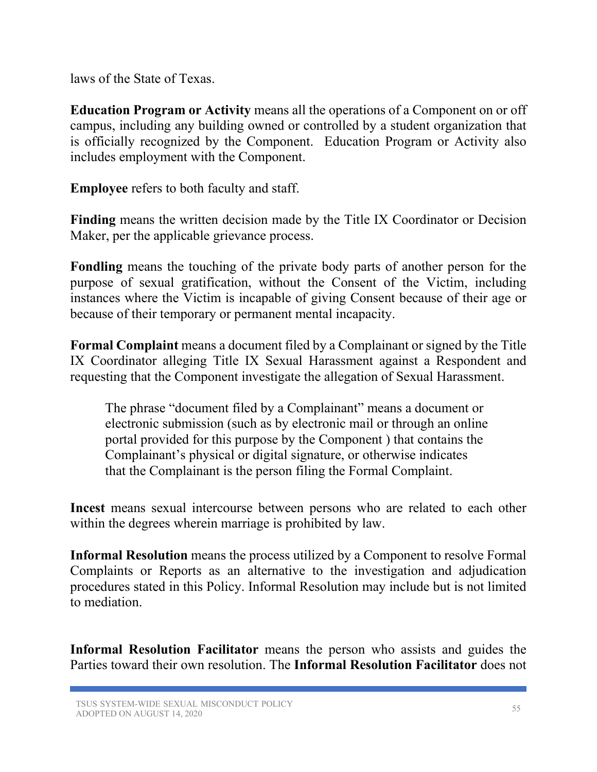laws of the State of Texas.

**Education Program or Activity** means all the operations of a Component on or off campus, including any building owned or controlled by a student organization that is officially recognized by the Component. Education Program or Activity also includes employment with the Component.

**Employee** refers to both faculty and staff.

**Finding** means the written decision made by the Title IX Coordinator or Decision Maker, per the applicable grievance process.

**Fondling** means the touching of the private body parts of another person for the purpose of sexual gratification, without the Consent of the Victim, including instances where the Victim is incapable of giving Consent because of their age or because of their temporary or permanent mental incapacity.

**Formal Complaint** means a document filed by a Complainant or signed by the Title IX Coordinator alleging Title IX Sexual Harassment against a Respondent and requesting that the Component investigate the allegation of Sexual Harassment.

The phrase "document filed by a Complainant" means a document or electronic submission (such as by electronic mail or through an online portal provided for this purpose by the Component ) that contains the Complainant's physical or digital signature, or otherwise indicates that the Complainant is the person filing the Formal Complaint.

**Incest** means sexual intercourse between persons who are related to each other within the degrees wherein marriage is prohibited by law.

**Informal Resolution** means the process utilized by a Component to resolve Formal Complaints or Reports as an alternative to the investigation and adjudication procedures stated in this Policy. Informal Resolution may include but is not limited to mediation.

**Informal Resolution Facilitator** means the person who assists and guides the Parties toward their own resolution. The **Informal Resolution Facilitator** does not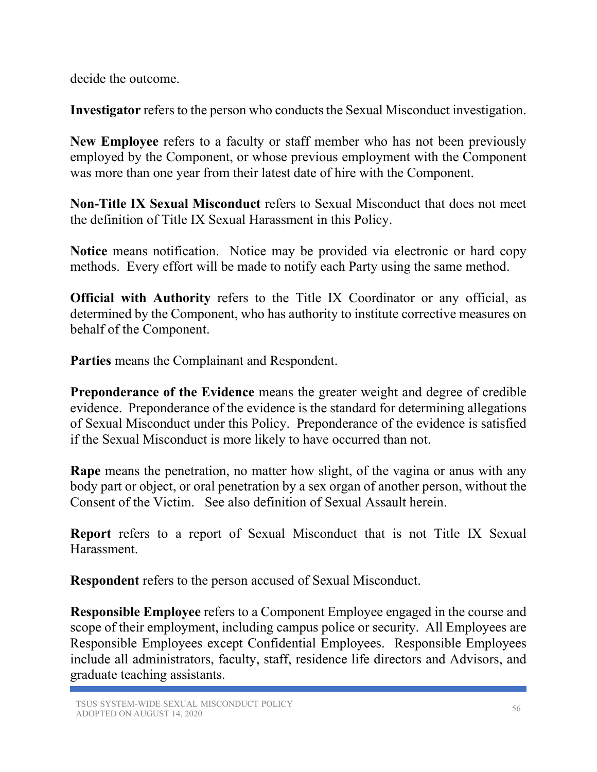decide the outcome.

**Investigator** refers to the person who conducts the Sexual Misconduct investigation.

**New Employee** refers to a faculty or staff member who has not been previously employed by the Component, or whose previous employment with the Component was more than one year from their latest date of hire with the Component.

**Non-Title IX Sexual Misconduct** refers to Sexual Misconduct that does not meet the definition of Title IX Sexual Harassment in this Policy.

**Notice** means notification. Notice may be provided via electronic or hard copy methods. Every effort will be made to notify each Party using the same method.

**Official with Authority** refers to the Title IX Coordinator or any official, as determined by the Component, who has authority to institute corrective measures on behalf of the Component.

**Parties** means the Complainant and Respondent.

**Preponderance of the Evidence** means the greater weight and degree of credible evidence. Preponderance of the evidence is the standard for determining allegations of Sexual Misconduct under this Policy. Preponderance of the evidence is satisfied if the Sexual Misconduct is more likely to have occurred than not.

**Rape** means the penetration, no matter how slight, of the vagina or anus with any body part or object, or oral penetration by a sex organ of another person, without the Consent of the Victim. See also definition of Sexual Assault herein.

**Report** refers to a report of Sexual Misconduct that is not Title IX Sexual Harassment.

**Respondent** refers to the person accused of Sexual Misconduct.

**Responsible Employee** refers to a Component Employee engaged in the course and scope of their employment, including campus police or security. All Employees are Responsible Employees except Confidential Employees. Responsible Employees include all administrators, faculty, staff, residence life directors and Advisors, and graduate teaching assistants.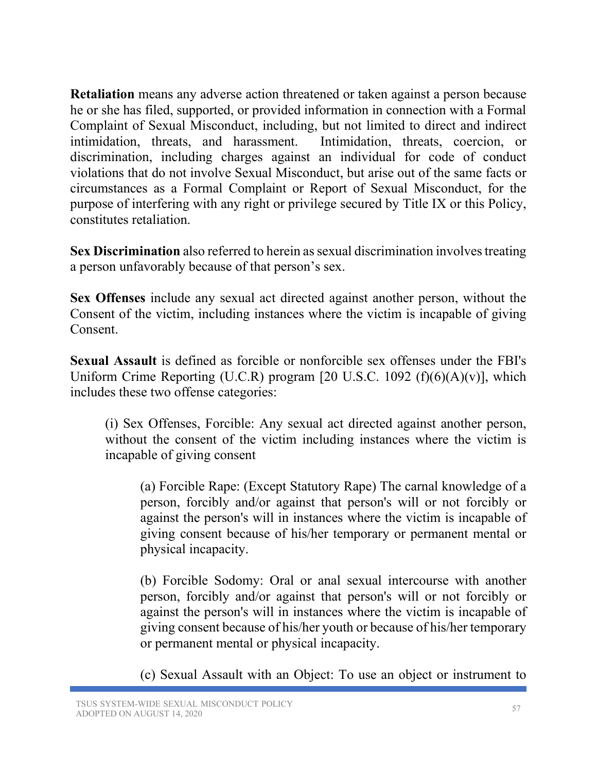**Retaliation** means any adverse action threatened or taken against a person because he or she has filed, supported, or provided information in connection with a Formal Complaint of Sexual Misconduct, including, but not limited to direct and indirect intimidation, threats, and harassment. Intimidation, threats, coercion, or discrimination, including charges against an individual for code of conduct violations that do not involve Sexual Misconduct, but arise out of the same facts or circumstances as a Formal Complaint or Report of Sexual Misconduct, for the purpose of interfering with any right or privilege secured by Title IX or this Policy, constitutes retaliation.

**Sex Discrimination** also referred to herein as sexual discrimination involves treating a person unfavorably because of that person's sex.

**Sex Offenses** include any sexual act directed against another person, without the Consent of the victim, including instances where the victim is incapable of giving Consent.

**Sexual Assault** is defined as forcible or nonforcible sex offenses under the FBI's Uniform Crime Reporting (U.C.R) program [20 U.S.C. 1092  $(f)(6)(A)(v)$ ], which includes these two offense categories:

(i) Sex Offenses, Forcible: Any sexual act directed against another person, without the consent of the victim including instances where the victim is incapable of giving consent

(a) Forcible Rape: (Except Statutory Rape) The carnal knowledge of a person, forcibly and/or against that person's will or not forcibly or against the person's will in instances where the victim is incapable of giving consent because of his/her temporary or permanent mental or physical incapacity.

(b) Forcible Sodomy: Oral or anal sexual intercourse with another person, forcibly and/or against that person's will or not forcibly or against the person's will in instances where the victim is incapable of giving consent because of his/her youth or because of his/her temporary or permanent mental or physical incapacity.

(c) Sexual Assault with an Object: To use an object or instrument to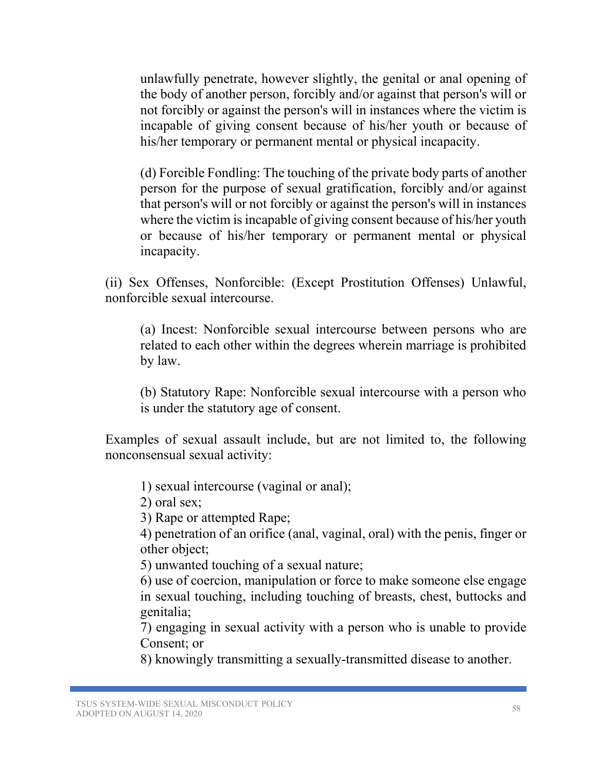unlawfully penetrate, however slightly, the genital or anal opening of the body of another person, forcibly and/or against that person's will or not forcibly or against the person's will in instances where the victim is incapable of giving consent because of his/her youth or because of his/her temporary or permanent mental or physical incapacity.

(d) Forcible Fondling: The touching of the private body parts of another person for the purpose of sexual gratification, forcibly and/or against that person's will or not forcibly or against the person's will in instances where the victim is incapable of giving consent because of his/her youth or because of his/her temporary or permanent mental or physical incapacity.

(ii) Sex Offenses, Nonforcible: (Except Prostitution Offenses) Unlawful, nonforcible sexual intercourse.

(a) Incest: Nonforcible sexual intercourse between persons who are related to each other within the degrees wherein marriage is prohibited by law.

(b) Statutory Rape: Nonforcible sexual intercourse with a person who is under the statutory age of consent.

Examples of sexual assault include, but are not limited to, the following nonconsensual sexual activity:

1) sexual intercourse (vaginal or anal);

2) oral sex;

3) Rape or attempted Rape;

4) penetration of an orifice (anal, vaginal, oral) with the penis, finger or other object;

5) unwanted touching of a sexual nature;

6) use of coercion, manipulation or force to make someone else engage in sexual touching, including touching of breasts, chest, buttocks and genitalia;

7) engaging in sexual activity with a person who is unable to provide Consent; or

8) knowingly transmitting a sexually-transmitted disease to another.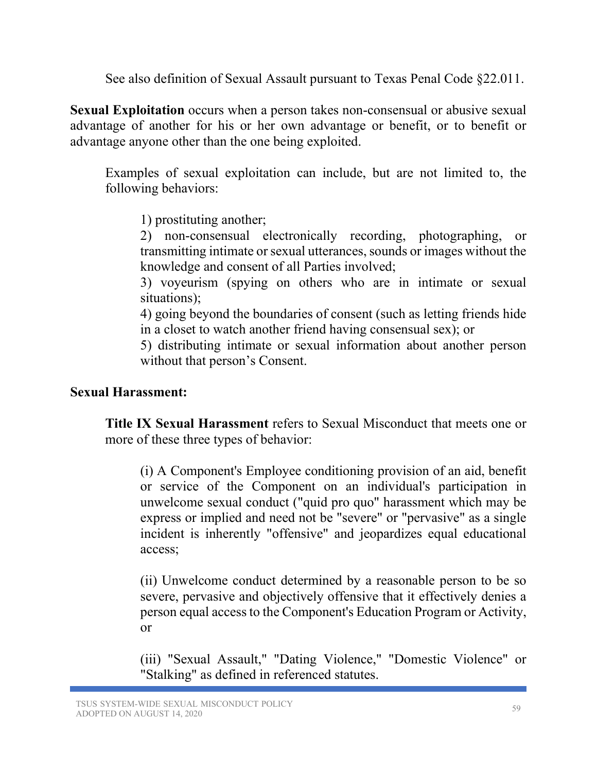See also definition of Sexual Assault pursuant to Texas Penal Code §22.011.

**Sexual Exploitation** occurs when a person takes non-consensual or abusive sexual advantage of another for his or her own advantage or benefit, or to benefit or advantage anyone other than the one being exploited.

Examples of sexual exploitation can include, but are not limited to, the following behaviors:

1) prostituting another;

2) non-consensual electronically recording, photographing, or transmitting intimate or sexual utterances, sounds or images without the knowledge and consent of all Parties involved;

3) voyeurism (spying on others who are in intimate or sexual situations);

4) going beyond the boundaries of consent (such as letting friends hide in a closet to watch another friend having consensual sex); or

5) distributing intimate or sexual information about another person without that person's Consent.

### **Sexual Harassment:**

**Title IX Sexual Harassment** refers to Sexual Misconduct that meets one or more of these three types of behavior:

(i) A Component's Employee conditioning provision of an aid, benefit or service of the Component on an individual's participation in unwelcome sexual conduct ("quid pro quo" harassment which may be express or implied and need not be "severe" or "pervasive" as a single incident is inherently "offensive" and jeopardizes equal educational access;

(ii) Unwelcome conduct determined by a reasonable person to be so severe, pervasive and objectively offensive that it effectively denies a person equal access to the Component's Education Program or Activity, or

(iii) "Sexual Assault," "Dating Violence," "Domestic Violence" or "Stalking" as defined in referenced statutes.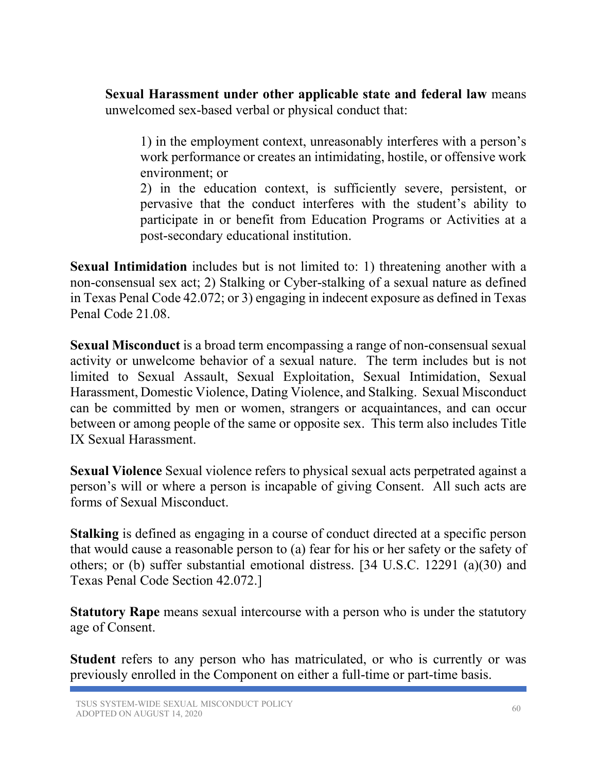**Sexual Harassment under other applicable state and federal law** means unwelcomed sex-based verbal or physical conduct that:

1) in the employment context, unreasonably interferes with a person's work performance or creates an intimidating, hostile, or offensive work environment; or

2) in the education context, is sufficiently severe, persistent, or pervasive that the conduct interferes with the student's ability to participate in or benefit from Education Programs or Activities at a post-secondary educational institution.

**Sexual Intimidation** includes but is not limited to: 1) threatening another with a non-consensual sex act; 2) Stalking or Cyber-stalking of a sexual nature as defined in Texas Penal Code 42.072; or 3) engaging in indecent exposure as defined in Texas Penal Code 21.08.

**Sexual Misconduct** is a broad term encompassing a range of non-consensual sexual activity or unwelcome behavior of a sexual nature. The term includes but is not limited to Sexual Assault, Sexual Exploitation, Sexual Intimidation, Sexual Harassment, Domestic Violence, Dating Violence, and Stalking. Sexual Misconduct can be committed by men or women, strangers or acquaintances, and can occur between or among people of the same or opposite sex. This term also includes Title IX Sexual Harassment.

**Sexual Violence** Sexual violence refers to physical sexual acts perpetrated against a person's will or where a person is incapable of giving Consent. All such acts are forms of Sexual Misconduct.

**Stalking** is defined as engaging in a course of conduct directed at a specific person that would cause a reasonable person to (a) fear for his or her safety or the safety of others; or (b) suffer substantial emotional distress. [34 U.S.C. 12291 (a)(30) and Texas Penal Code Section 42.072.]

**Statutory Rape** means sexual intercourse with a person who is under the statutory age of Consent.

**Student** refers to any person who has matriculated, or who is currently or was previously enrolled in the Component on either a full-time or part-time basis.